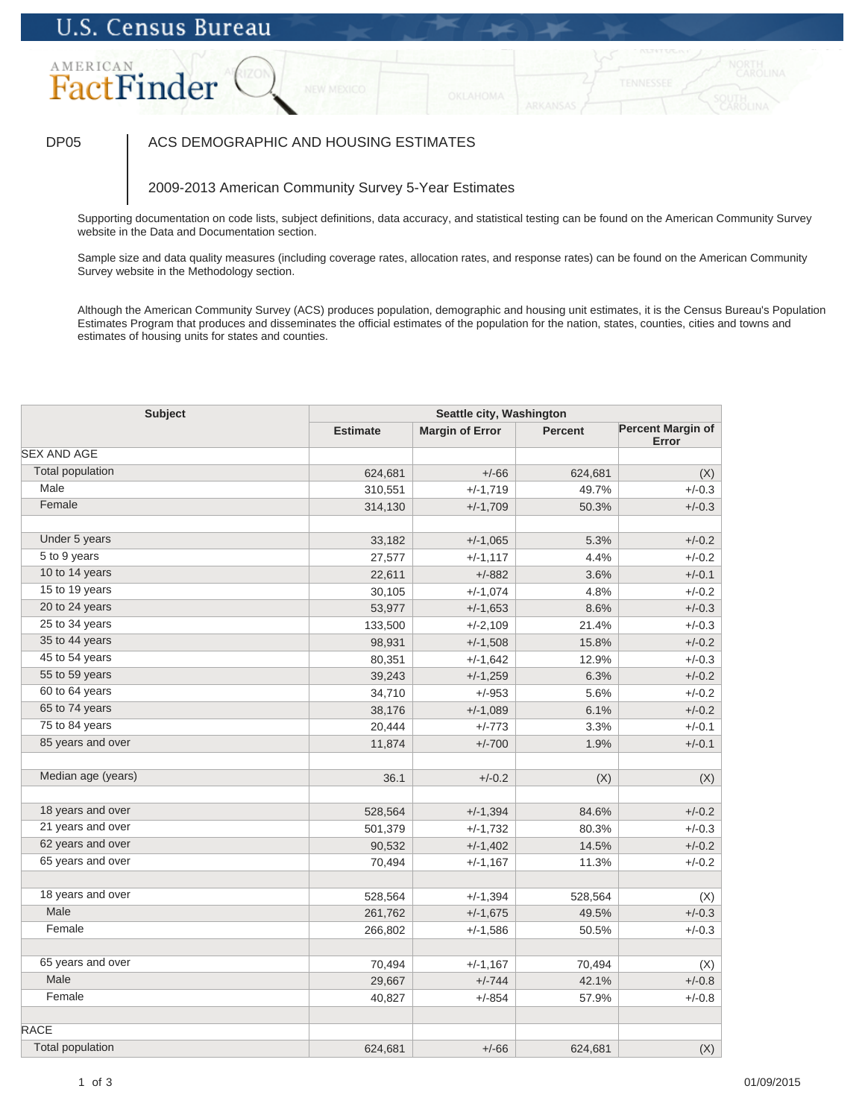## AMERICAN FactFinder

### DP05 | ACS DEMOGRAPHIC AND HOUSING ESTIMATES

### 2009-2013 American Community Survey 5-Year Estimates

Supporting documentation on code lists, subject definitions, data accuracy, and statistical testing can be found on the American Community Survey website in the Data and Documentation section.

Sample size and data quality measures (including coverage rates, allocation rates, and response rates) can be found on the American Community Survey website in the Methodology section.

| <b>Subject</b>          | Seattle city, Washington |                        |                |                                   |
|-------------------------|--------------------------|------------------------|----------------|-----------------------------------|
|                         | <b>Estimate</b>          | <b>Margin of Error</b> | <b>Percent</b> | <b>Percent Margin of</b><br>Error |
| <b>SEX AND AGE</b>      |                          |                        |                |                                   |
| <b>Total population</b> | 624,681                  | $+/-66$                | 624,681        | (X)                               |
| Male                    | 310,551                  | $+/-1,719$             | 49.7%          | $+/-0.3$                          |
| Female                  | 314,130                  | $+/-1,709$             | 50.3%          | $+/-0.3$                          |
|                         |                          |                        |                |                                   |
| Under 5 years           | 33,182                   | $+/-1,065$             | 5.3%           | $+/-0.2$                          |
| 5 to 9 years            | 27,577                   | $+/-1,117$             | 4.4%           | $+/-0.2$                          |
| 10 to 14 years          | 22,611                   | $+/-882$               | 3.6%           | $+/-0.1$                          |
| 15 to 19 years          | 30,105                   | $+/-1,074$             | 4.8%           | $+/-0.2$                          |
| 20 to 24 years          | 53,977                   | $+/-1,653$             | 8.6%           | $+/-0.3$                          |
| 25 to 34 years          | 133,500                  | $+/-2,109$             | 21.4%          | $+/-0.3$                          |
| 35 to 44 years          | 98,931                   | $+/-1,508$             | 15.8%          | $+/-0.2$                          |
| 45 to 54 years          | 80,351                   | $+/-1,642$             | 12.9%          | $+/-0.3$                          |
| 55 to 59 years          | 39,243                   | $+/-1,259$             | 6.3%           | $+/-0.2$                          |
| 60 to 64 years          | 34,710                   | $+/-953$               | 5.6%           | $+/-0.2$                          |
| 65 to 74 years          | 38,176                   | $+/-1,089$             | 6.1%           | $+/-0.2$                          |
| 75 to 84 years          | 20,444                   | $+/-773$               | 3.3%           | $+/-0.1$                          |
| 85 years and over       | 11,874                   | $+/-700$               | 1.9%           | $+/-0.1$                          |
| Median age (years)      | 36.1                     | $+/-0.2$               | (X)            | (X)                               |
| 18 years and over       | 528,564                  | $+/-1,394$             | 84.6%          | $+/-0.2$                          |
| 21 years and over       | 501,379                  | $+/-1,732$             | 80.3%          | $+/-0.3$                          |
| 62 years and over       | 90,532                   | $+/-1,402$             | 14.5%          | $+/-0.2$                          |
| 65 years and over       | 70,494                   | $+/-1,167$             | 11.3%          | $+/-0.2$                          |
|                         |                          |                        |                |                                   |
| 18 years and over       | 528,564                  | $+/-1,394$             | 528,564        | (X)                               |
| Male                    | 261,762                  | $+/-1,675$             | 49.5%          | $+/-0.3$                          |
| Female                  | 266,802                  | $+/-1,586$             | 50.5%          | $+/-0.3$                          |
| 65 years and over       | 70,494                   | $+/-1,167$             | 70,494         | (X)                               |
| Male                    | 29,667                   | $+/-744$               | 42.1%          | $+/-0.8$                          |
| Female                  | 40,827                   | $+/-854$               | 57.9%          | $+/-0.8$                          |
| <b>RACE</b>             |                          |                        |                |                                   |
| <b>Total population</b> | 624,681                  | $+/-66$                | 624,681        | (X)                               |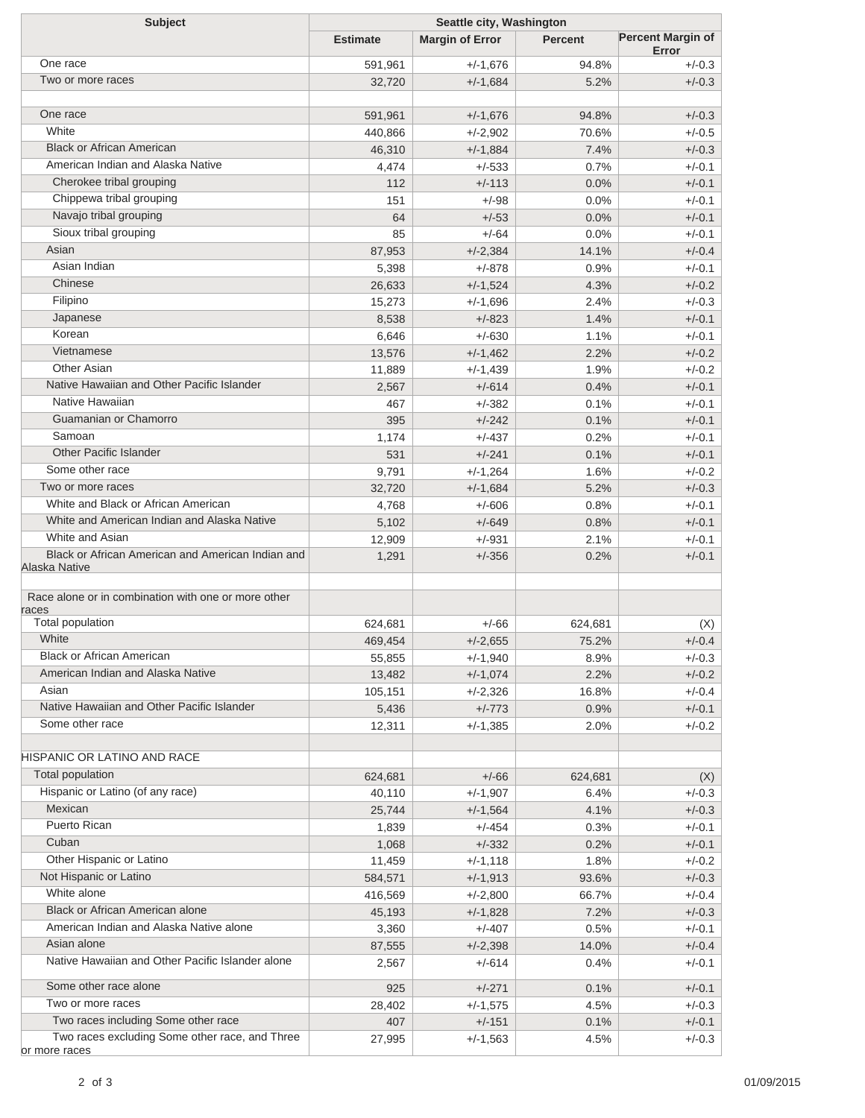| <b>Subject</b>                                      | Seattle city, Washington |                        |                |                                   |  |
|-----------------------------------------------------|--------------------------|------------------------|----------------|-----------------------------------|--|
|                                                     | <b>Estimate</b>          | <b>Margin of Error</b> | <b>Percent</b> | <b>Percent Margin of</b><br>Error |  |
| One race                                            | 591,961                  | $+/-1,676$             | 94.8%          | $+/-0.3$                          |  |
| Two or more races                                   | 32,720                   | $+/-1,684$             | 5.2%           | $+/-0.3$                          |  |
|                                                     |                          |                        |                |                                   |  |
| One race                                            | 591,961                  | $+/-1,676$             | 94.8%          | $+/-0.3$                          |  |
| White                                               | 440,866                  | $+/-2,902$             | 70.6%          | $+/-0.5$                          |  |
| <b>Black or African American</b>                    | 46,310                   | $+/-1,884$             | 7.4%           | $+/-0.3$                          |  |
| American Indian and Alaska Native                   | 4,474                    | $+/-533$               | 0.7%           | $+/-0.1$                          |  |
| Cherokee tribal grouping                            | 112                      | $+/-113$               | 0.0%           | $+/-0.1$                          |  |
| Chippewa tribal grouping                            | 151                      | $+/-98$                | 0.0%           | $+/-0.1$                          |  |
| Navajo tribal grouping                              | 64                       | $+/-53$                | 0.0%           | $+/-0.1$                          |  |
| Sioux tribal grouping                               | 85                       | $+/-64$                | 0.0%           | $+/-0.1$                          |  |
| Asian                                               | 87,953                   | $+/-2,384$             | 14.1%          | $+/-0.4$                          |  |
| Asian Indian                                        | 5,398                    | $+/-878$               | 0.9%           | $+/-0.1$                          |  |
| Chinese                                             | 26,633                   | $+/-1,524$             | 4.3%           | $+/-0.2$                          |  |
| Filipino                                            | 15,273                   | $+/-1,696$             | 2.4%           | $+/-0.3$                          |  |
| Japanese                                            | 8,538                    | $+/-823$               | 1.4%           | $+/-0.1$                          |  |
| Korean                                              | 6,646                    | $+/-630$               | 1.1%           | $+/-0.1$                          |  |
| Vietnamese                                          | 13,576                   | $+/-1,462$             | 2.2%           | $+/-0.2$                          |  |
| <b>Other Asian</b>                                  | 11,889                   | $+/-1,439$             | 1.9%           | $+/-0.2$                          |  |
| Native Hawaiian and Other Pacific Islander          | 2,567                    | $+/-614$               | 0.4%           | $+/-0.1$                          |  |
| Native Hawaiian                                     | 467                      | $+/-382$               | 0.1%           | $+/-0.1$                          |  |
| Guamanian or Chamorro                               | 395                      | $+/-242$               | 0.1%           | $+/-0.1$                          |  |
| Samoan                                              | 1,174                    | $+/-437$               | 0.2%           | $+/-0.1$                          |  |
| <b>Other Pacific Islander</b>                       | 531                      | $+/-241$               | 0.1%           | $+/-0.1$                          |  |
| Some other race                                     | 9,791                    | $+/-1,264$             | 1.6%           | $+/-0.2$                          |  |
| Two or more races                                   | 32,720                   | $+/-1,684$             | 5.2%           | $+/-0.3$                          |  |
| White and Black or African American                 |                          | $+/-606$               | 0.8%           | $+/-0.1$                          |  |
| White and American Indian and Alaska Native         | 4,768<br>5,102           | $+/-649$               | 0.8%           | $+/-0.1$                          |  |
| White and Asian                                     |                          |                        | 2.1%           | $+/-0.1$                          |  |
| Black or African American and American Indian and   | 12,909                   | $+/-931$               |                | $+/-0.1$                          |  |
| Alaska Native                                       | 1,291                    | $+/-356$               | 0.2%           |                                   |  |
| Race alone or in combination with one or more other |                          |                        |                |                                   |  |
| races                                               |                          |                        |                |                                   |  |
| <b>Total population</b>                             | 624,681                  | $+/-66$                | 624,681        | (X)                               |  |
| White                                               | 469,454                  | $+/-2,655$             | 75.2%          | $+/-0.4$                          |  |
| <b>Black or African American</b>                    | 55,855                   | $+/-1,940$             | 8.9%           | $+/-0.3$                          |  |
| American Indian and Alaska Native                   | 13,482                   | $+/-1,074$             | 2.2%           | $+/-0.2$                          |  |
| Asian                                               | 105,151                  | $+/-2,326$             | 16.8%          | $+/-0.4$                          |  |
| Native Hawaiian and Other Pacific Islander          | 5,436                    | $+/-773$               | 0.9%           | $+/-0.1$                          |  |
| Some other race                                     | 12,311                   | $+/-1,385$             | 2.0%           | $+/-0.2$                          |  |
| <b>HISPANIC OR LATINO AND RACE</b>                  |                          |                        |                |                                   |  |
| Total population                                    | 624,681                  | $+/-66$                | 624,681        | (X)                               |  |
| Hispanic or Latino (of any race)                    | 40,110                   | $+/-1,907$             | 6.4%           | $+/-0.3$                          |  |
| Mexican                                             | 25,744                   | $+/-1,564$             | 4.1%           | $+/-0.3$                          |  |
| Puerto Rican                                        | 1,839                    | $+/-454$               | 0.3%           | $+/-0.1$                          |  |
| Cuban                                               | 1,068                    | $+/-332$               | 0.2%           | $+/-0.1$                          |  |
| Other Hispanic or Latino                            | 11,459                   | $+/-1,118$             | 1.8%           | $+/-0.2$                          |  |
| Not Hispanic or Latino                              | 584,571                  | $+/-1,913$             | 93.6%          | $+/-0.3$                          |  |
| White alone                                         | 416,569                  | $+/-2,800$             | 66.7%          | $+/-0.4$                          |  |
| Black or African American alone                     | 45,193                   | $+/-1,828$             | 7.2%           | $+/-0.3$                          |  |
| American Indian and Alaska Native alone             | 3,360                    | $+/-407$               | 0.5%           | $+/-0.1$                          |  |
| Asian alone                                         | 87,555                   | $+/-2,398$             | 14.0%          | $+/-0.4$                          |  |
| Native Hawaiian and Other Pacific Islander alone    | 2,567                    | +/-614                 | 0.4%           | $+/-0.1$                          |  |
| Some other race alone                               | 925                      | $+/-271$               | 0.1%           | $+/-0.1$                          |  |
| Two or more races                                   | 28,402                   | $+/-1,575$             | 4.5%           | $+/-0.3$                          |  |
| Two races including Some other race                 | 407                      | $+/-151$               | 0.1%           | $+/-0.1$                          |  |
| Two races excluding Some other race, and Three      | 27,995                   | $+/-1,563$             | 4.5%           | $+/-0.3$                          |  |
| or more races                                       |                          |                        |                |                                   |  |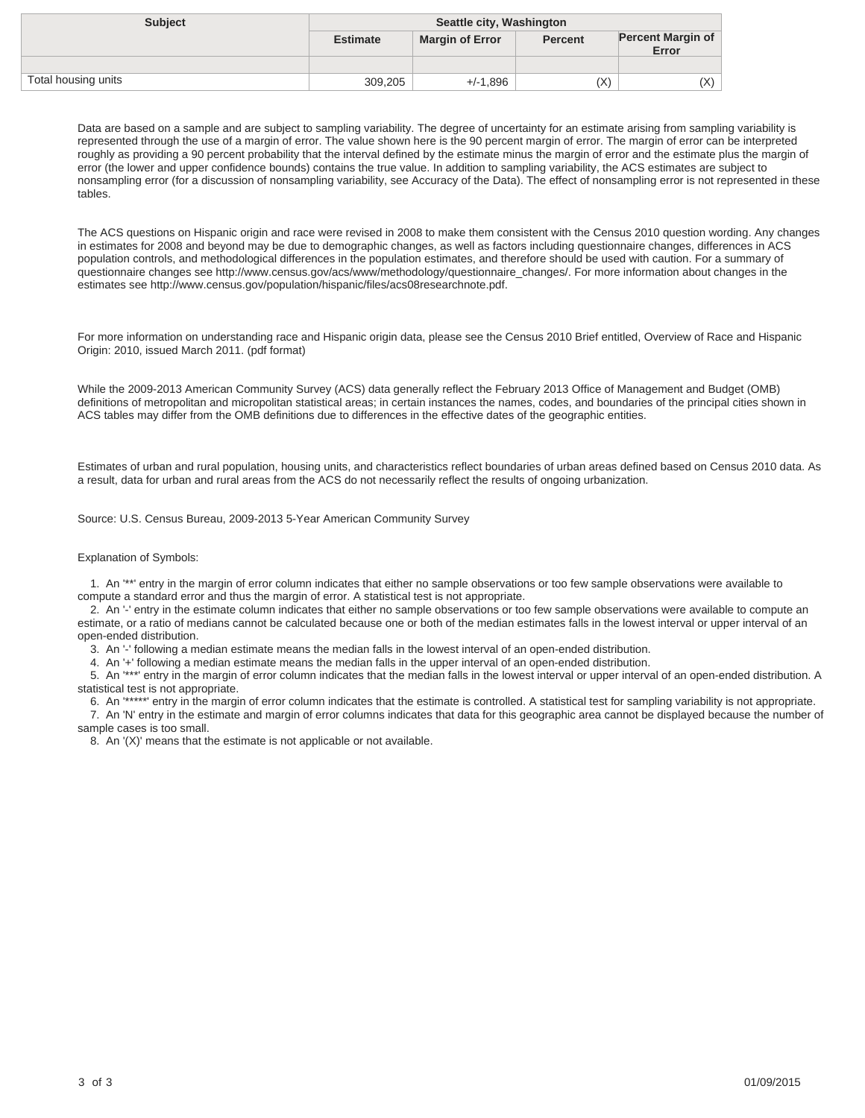| <b>Subject</b>      | Seattle city, Washington |                        |                |                                   |
|---------------------|--------------------------|------------------------|----------------|-----------------------------------|
|                     | <b>Estimate</b>          | <b>Margin of Error</b> | <b>Percent</b> | <b>Percent Margin of</b><br>Error |
|                     |                          |                        |                |                                   |
| Total housing units | 309,205                  | $+/-1.896$             | (X)            | (X)                               |

The ACS questions on Hispanic origin and race were revised in 2008 to make them consistent with the Census 2010 question wording. Any changes in estimates for 2008 and beyond may be due to demographic changes, as well as factors including questionnaire changes, differences in ACS population controls, and methodological differences in the population estimates, and therefore should be used with caution. For a summary of questionnaire changes see http://www.census.gov/acs/www/methodology/questionnaire\_changes/. For more information about changes in the estimates see http://www.census.gov/population/hispanic/files/acs08researchnote.pdf.

For more information on understanding race and Hispanic origin data, please see the Census 2010 Brief entitled, Overview of Race and Hispanic Origin: 2010, issued March 2011. (pdf format)

While the 2009-2013 American Community Survey (ACS) data generally reflect the February 2013 Office of Management and Budget (OMB) definitions of metropolitan and micropolitan statistical areas; in certain instances the names, codes, and boundaries of the principal cities shown in ACS tables may differ from the OMB definitions due to differences in the effective dates of the geographic entities.

Estimates of urban and rural population, housing units, and characteristics reflect boundaries of urban areas defined based on Census 2010 data. As a result, data for urban and rural areas from the ACS do not necessarily reflect the results of ongoing urbanization.

Source: U.S. Census Bureau, 2009-2013 5-Year American Community Survey

#### Explanation of Symbols:

sample cases is too small.

 1. An '\*\*' entry in the margin of error column indicates that either no sample observations or too few sample observations were available to compute a standard error and thus the margin of error. A statistical test is not appropriate.

 2. An '-' entry in the estimate column indicates that either no sample observations or too few sample observations were available to compute an estimate, or a ratio of medians cannot be calculated because one or both of the median estimates falls in the lowest interval or upper interval of an open-ended distribution.

3. An '-' following a median estimate means the median falls in the lowest interval of an open-ended distribution.

4. An '+' following a median estimate means the median falls in the upper interval of an open-ended distribution.

 5. An '\*\*\*' entry in the margin of error column indicates that the median falls in the lowest interval or upper interval of an open-ended distribution. A statistical test is not appropriate.

 6. An '\*\*\*\*\*' entry in the margin of error column indicates that the estimate is controlled. A statistical test for sampling variability is not appropriate. 7. An 'N' entry in the estimate and margin of error columns indicates that data for this geographic area cannot be displayed because the number of

8. An '(X)' means that the estimate is not applicable or not available.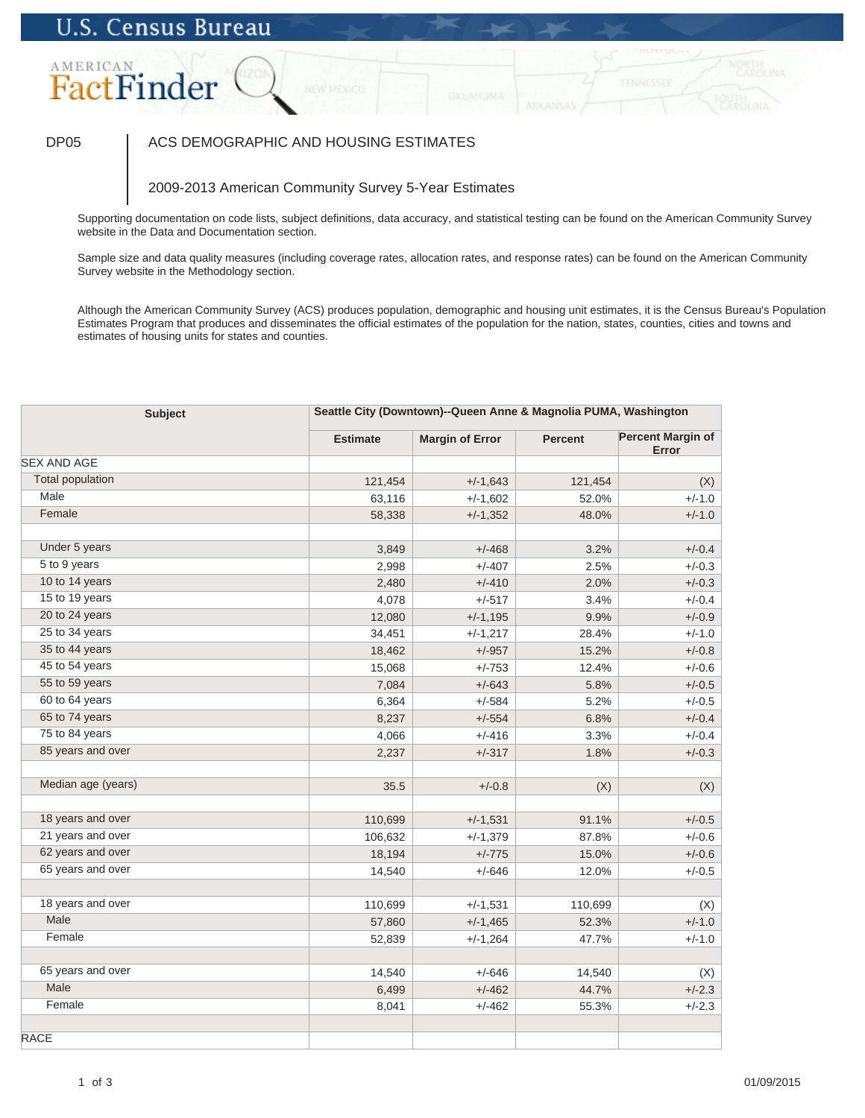### AMERICAN FactFinder

### DP05 | ACS DEMOGRAPHIC AND HOUSING ESTIMATES

### 2009-2013 American Community Survey 5-Year Estimates

Supporting documentation on code lists, subject definitions, data accuracy, and statistical testing can be found on the American Community Survey website in the Data and Documentation section.

Sample size and data quality measures (including coverage rates, allocation rates, and response rates) can be found on the American Community Survey website in the Methodology section.

| <b>Subject</b>            | Seattle City (Downtown)--Queen Anne & Magnolia PUMA, Washington |                        |                |                                   |
|---------------------------|-----------------------------------------------------------------|------------------------|----------------|-----------------------------------|
|                           | <b>Estimate</b>                                                 | <b>Margin of Error</b> | <b>Percent</b> | <b>Percent Margin of</b><br>Error |
| <b>SEX AND AGE</b>        |                                                                 |                        |                |                                   |
| <b>Total population</b>   | 121,454                                                         | $+/-1,643$             | 121,454        | (X)                               |
| Male                      | 63,116                                                          | $+/-1,602$             | 52.0%          | $+/-1.0$                          |
| Female                    | 58,338                                                          | $+/-1,352$             | 48.0%          | $+/-1.0$                          |
| Under 5 years             | 3,849                                                           | $+/-468$               | 3.2%           | $+/-0.4$                          |
| 5 to 9 years              | 2,998                                                           | $+/-407$               | 2.5%           | $+/-0.3$                          |
| 10 to 14 years            | 2,480                                                           | $+/-410$               | 2.0%           | $+/-0.3$                          |
| 15 to 19 years            | 4,078                                                           | $+/-517$               | 3.4%           | $+/-0.4$                          |
| 20 to 24 years            | 12,080                                                          | $+/-1,195$             | 9.9%           | $+/-0.9$                          |
| 25 to 34 years            | 34,451                                                          | $+/-1,217$             | 28.4%          | $+/-1.0$                          |
| 35 to 44 years            | 18,462                                                          | $+/-957$               | 15.2%          | $+/-0.8$                          |
| 45 to 54 years            | 15,068                                                          | $+/-753$               | 12.4%          | $+/-0.6$                          |
| 55 to 59 years            | 7,084                                                           | $+/-643$               | 5.8%           | $+/-0.5$                          |
| 60 to 64 years            | 6,364                                                           | $+/-584$               | 5.2%           | $+/-0.5$                          |
| 65 to 74 years            | 8,237                                                           | $+/-554$               | 6.8%           | $+/-0.4$                          |
| 75 to 84 years            | 4,066                                                           | $+/-416$               | 3.3%           | $+/-0.4$                          |
| 85 years and over         | 2,237                                                           | $+/-317$               | 1.8%           | $+/-0.3$                          |
| Median age (years)        | 35.5                                                            | $+/-0.8$               | (X)            | (X)                               |
| 18 years and over         | 110,699                                                         | $+/-1,531$             | 91.1%          | $+/-0.5$                          |
| 21 years and over         | 106,632                                                         | $+/-1,379$             | 87.8%          | $+/-0.6$                          |
| 62 years and over         | 18,194                                                          | $+/-775$               | 15.0%          | $+/-0.6$                          |
| 65 years and over         | 14,540                                                          | $+/-646$               | 12.0%          | $+/-0.5$                          |
|                           |                                                                 |                        |                |                                   |
| 18 years and over<br>Male | 110,699                                                         | $+/-1,531$             | 110,699        | (X)                               |
|                           | 57,860                                                          | $+/-1,465$             | 52.3%          | $+/-1.0$                          |
| Female                    | 52,839                                                          | $+/-1,264$             | 47.7%          | $+/-1.0$                          |
| 65 years and over         | 14,540                                                          | $+/-646$               | 14,540         | (X)                               |
| Male                      | 6,499                                                           | $+/-462$               | 44.7%          | $+/-2.3$                          |
| Female                    | 8,041                                                           | $+/-462$               | 55.3%          | $+/-2.3$                          |
| <b>RACE</b>               |                                                                 |                        |                |                                   |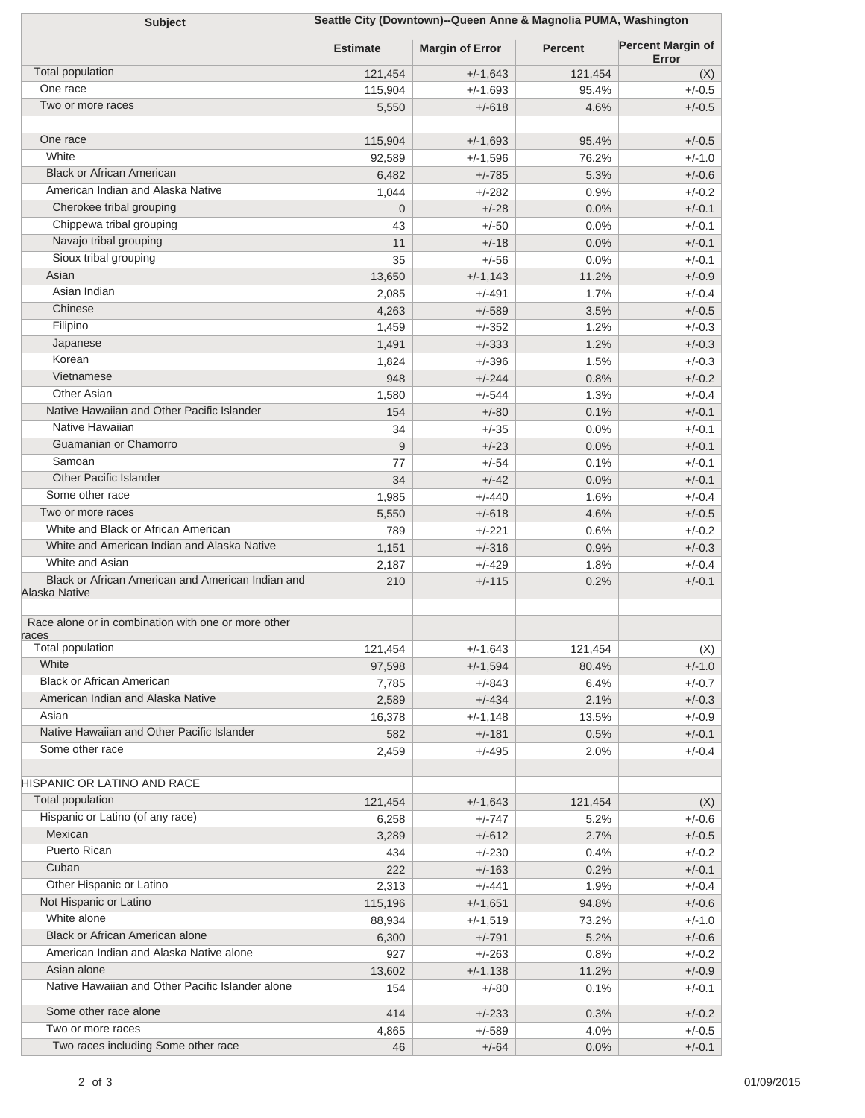| Seattle City (Downtown)--Queen Anne & Magnolia PUMA, Washington<br><b>Subject</b> |                 |                        |                |                                   |  |  |
|-----------------------------------------------------------------------------------|-----------------|------------------------|----------------|-----------------------------------|--|--|
|                                                                                   | <b>Estimate</b> | <b>Margin of Error</b> | <b>Percent</b> | <b>Percent Margin of</b><br>Error |  |  |
| Total population                                                                  | 121,454         | $+/-1,643$             | 121,454        | (X)                               |  |  |
| One race                                                                          | 115,904         | $+/-1,693$             | 95.4%          | $+/-0.5$                          |  |  |
| Two or more races                                                                 | 5,550           | $+/-618$               | 4.6%           | $+/-0.5$                          |  |  |
| One race                                                                          |                 |                        |                |                                   |  |  |
| White                                                                             | 115,904         | $+/-1,693$             | 95.4%          | $+/-0.5$                          |  |  |
| <b>Black or African American</b>                                                  | 92,589          | $+/-1,596$             | 76.2%          | $+/-1.0$                          |  |  |
| American Indian and Alaska Native                                                 | 6,482           | $+/-785$               | 5.3%           | $+/-0.6$                          |  |  |
| Cherokee tribal grouping                                                          | 1,044           | $+/-282$               | 0.9%           | $+/-0.2$                          |  |  |
| Chippewa tribal grouping                                                          | $\overline{0}$  | $+/-28$                | 0.0%           | $+/-0.1$                          |  |  |
| Navajo tribal grouping                                                            | 43              | $+/-50$                | 0.0%           | $+/-0.1$                          |  |  |
| Sioux tribal grouping                                                             | 11              | $+/-18$<br>$+/-56$     | 0.0%           | $+/-0.1$                          |  |  |
| Asian                                                                             | 35              |                        | 0.0%           | $+/-0.1$                          |  |  |
| Asian Indian                                                                      | 13,650<br>2,085 | $+/-1,143$<br>$+/-491$ | 11.2%<br>1.7%  | $+/-0.9$<br>$+/-0.4$              |  |  |
| Chinese                                                                           | 4,263           | $+/-589$               | 3.5%           | $+/-0.5$                          |  |  |
| Filipino                                                                          | 1,459           | $+/-352$               | 1.2%           | $+/-0.3$                          |  |  |
| Japanese                                                                          | 1,491           | $+/-333$               | 1.2%           | $+/-0.3$                          |  |  |
| Korean                                                                            | 1,824           | $+/-396$               | 1.5%           | $+/-0.3$                          |  |  |
| Vietnamese                                                                        | 948             | $+/-244$               | 0.8%           | $+/-0.2$                          |  |  |
| Other Asian                                                                       | 1,580           | $+/-544$               | 1.3%           | $+/-0.4$                          |  |  |
| Native Hawaiian and Other Pacific Islander                                        | 154             | $+/-80$                | 0.1%           | $+/-0.1$                          |  |  |
| Native Hawaiian                                                                   | 34              | $+/-35$                | 0.0%           | $+/-0.1$                          |  |  |
| Guamanian or Chamorro                                                             | 9               | $+/-23$                | 0.0%           | $+/-0.1$                          |  |  |
| Samoan                                                                            | 77              | $+/-54$                | 0.1%           | $+/-0.1$                          |  |  |
| <b>Other Pacific Islander</b>                                                     | 34              | $+/-42$                | 0.0%           | $+/-0.1$                          |  |  |
| Some other race                                                                   | 1,985           | $+/-440$               | 1.6%           | $+/-0.4$                          |  |  |
| Two or more races                                                                 | 5,550           | $+/-618$               | 4.6%           | $+/-0.5$                          |  |  |
| White and Black or African American                                               | 789             | $+/-221$               | 0.6%           | $+/-0.2$                          |  |  |
| White and American Indian and Alaska Native                                       | 1,151           | $+/-316$               | 0.9%           | $+/-0.3$                          |  |  |
| White and Asian                                                                   | 2,187           | $+/-429$               | 1.8%           | $+/-0.4$                          |  |  |
| Black or African American and American Indian and<br>Alaska Native                | 210             | $+/-115$               | 0.2%           | $+/-0.1$                          |  |  |
| Race alone or in combination with one or more other<br>races                      |                 |                        |                |                                   |  |  |
| Total population                                                                  | 121,454         | $+/-1,643$             | 121,454        | (X)                               |  |  |
| White                                                                             | 97,598          | $+/-1,594$             | 80.4%          | $+/-1.0$                          |  |  |
| <b>Black or African American</b>                                                  | 7,785           | $+/-843$               | 6.4%           | $+/-0.7$                          |  |  |
| American Indian and Alaska Native                                                 | 2,589           | $+/-434$               | 2.1%           | $+/-0.3$                          |  |  |
| Asian                                                                             | 16,378          | $+/-1,148$             | 13.5%          | $+/-0.9$                          |  |  |
| Native Hawaiian and Other Pacific Islander                                        | 582             | $+/-181$               | 0.5%           | $+/-0.1$                          |  |  |
| Some other race                                                                   | 2,459           | $+/-495$               | 2.0%           | $+/-0.4$                          |  |  |
| HISPANIC OR LATINO AND RACE                                                       |                 |                        |                |                                   |  |  |
| <b>Total population</b>                                                           | 121,454         | $+/-1,643$             | 121,454        | (X)                               |  |  |
| Hispanic or Latino (of any race)                                                  | 6,258           | $+/-747$               | 5.2%           | $+/-0.6$                          |  |  |
| <b>Mexican</b>                                                                    | 3,289           | $+/-612$               | 2.7%           | $+/-0.5$                          |  |  |
| Puerto Rican                                                                      | 434             | $+/-230$               | 0.4%           | $+/-0.2$                          |  |  |
| Cuban                                                                             | 222             | $+/-163$               | 0.2%           | $+/-0.1$                          |  |  |
| Other Hispanic or Latino                                                          | 2,313           | $+/-441$               | 1.9%           | $+/-0.4$                          |  |  |
| Not Hispanic or Latino                                                            | 115,196         | $+/-1,651$             | 94.8%          | $+/-0.6$                          |  |  |
| White alone                                                                       | 88,934          | $+/-1,519$             | 73.2%          | $+/-1.0$                          |  |  |
| Black or African American alone                                                   | 6,300           | $+/-791$               | 5.2%           | $+/-0.6$                          |  |  |
| American Indian and Alaska Native alone                                           | 927             | $+/-263$               | 0.8%           | $+/-0.2$                          |  |  |
| Asian alone                                                                       | 13,602          | $+/-1,138$             | 11.2%          | $+/-0.9$                          |  |  |
| Native Hawaiian and Other Pacific Islander alone                                  | 154             | $+/-80$                | 0.1%           | $+/-0.1$                          |  |  |
| Some other race alone<br>Two or more races                                        | 414             | $+/-233$               | 0.3%           | $+/-0.2$                          |  |  |
| Two races including Some other race                                               | 4,865           | $+/-589$               | 4.0%           | $+/-0.5$                          |  |  |
|                                                                                   | 46              | $+/-64$                | 0.0%           | $+/-0.1$                          |  |  |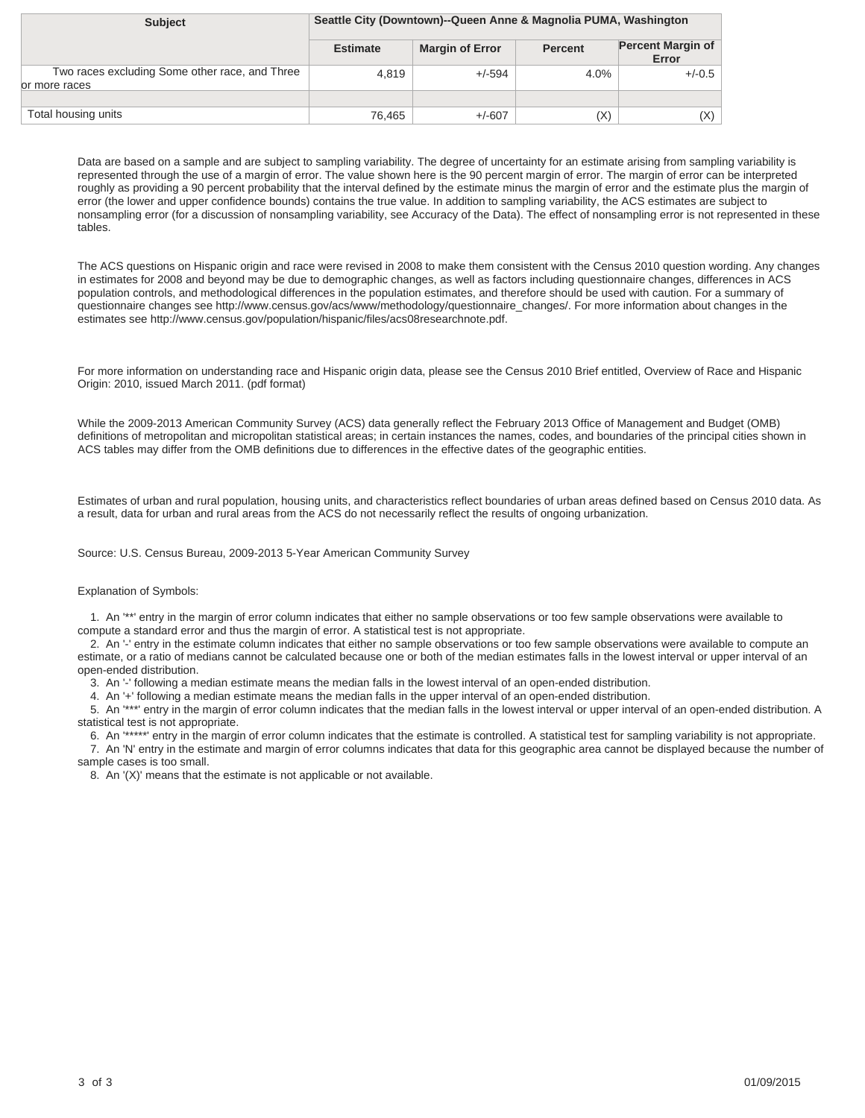| <b>Subject</b>                                                   | Seattle City (Downtown)--Queen Anne & Magnolia PUMA, Washington |                        |                |                                   |
|------------------------------------------------------------------|-----------------------------------------------------------------|------------------------|----------------|-----------------------------------|
|                                                                  | <b>Estimate</b>                                                 | <b>Margin of Error</b> | <b>Percent</b> | <b>Percent Margin of</b><br>Error |
| Two races excluding Some other race, and Three<br>lor more races | 4.819                                                           | $+/-594$               | 4.0%           | $+/-0.5$                          |
|                                                                  |                                                                 |                        |                |                                   |
| Total housing units                                              | 76.465                                                          | $+/-607$               | (X)            | $(\mathsf{X})$                    |

The ACS questions on Hispanic origin and race were revised in 2008 to make them consistent with the Census 2010 question wording. Any changes in estimates for 2008 and beyond may be due to demographic changes, as well as factors including questionnaire changes, differences in ACS population controls, and methodological differences in the population estimates, and therefore should be used with caution. For a summary of questionnaire changes see http://www.census.gov/acs/www/methodology/questionnaire\_changes/. For more information about changes in the estimates see http://www.census.gov/population/hispanic/files/acs08researchnote.pdf.

For more information on understanding race and Hispanic origin data, please see the Census 2010 Brief entitled, Overview of Race and Hispanic Origin: 2010, issued March 2011. (pdf format)

While the 2009-2013 American Community Survey (ACS) data generally reflect the February 2013 Office of Management and Budget (OMB) definitions of metropolitan and micropolitan statistical areas; in certain instances the names, codes, and boundaries of the principal cities shown in ACS tables may differ from the OMB definitions due to differences in the effective dates of the geographic entities.

Estimates of urban and rural population, housing units, and characteristics reflect boundaries of urban areas defined based on Census 2010 data. As a result, data for urban and rural areas from the ACS do not necessarily reflect the results of ongoing urbanization.

Source: U.S. Census Bureau, 2009-2013 5-Year American Community Survey

#### Explanation of Symbols:

 1. An '\*\*' entry in the margin of error column indicates that either no sample observations or too few sample observations were available to compute a standard error and thus the margin of error. A statistical test is not appropriate.

 2. An '-' entry in the estimate column indicates that either no sample observations or too few sample observations were available to compute an estimate, or a ratio of medians cannot be calculated because one or both of the median estimates falls in the lowest interval or upper interval of an open-ended distribution.

3. An '-' following a median estimate means the median falls in the lowest interval of an open-ended distribution.

4. An '+' following a median estimate means the median falls in the upper interval of an open-ended distribution.

 5. An '\*\*\*' entry in the margin of error column indicates that the median falls in the lowest interval or upper interval of an open-ended distribution. A statistical test is not appropriate.

6. An "\*\*\*\*\*' entry in the margin of error column indicates that the estimate is controlled. A statistical test for sampling variability is not appropriate. 7. An 'N' entry in the estimate and margin of error columns indicates that data for this geographic area cannot be displayed because the number of sample cases is too small.

8. An '(X)' means that the estimate is not applicable or not available.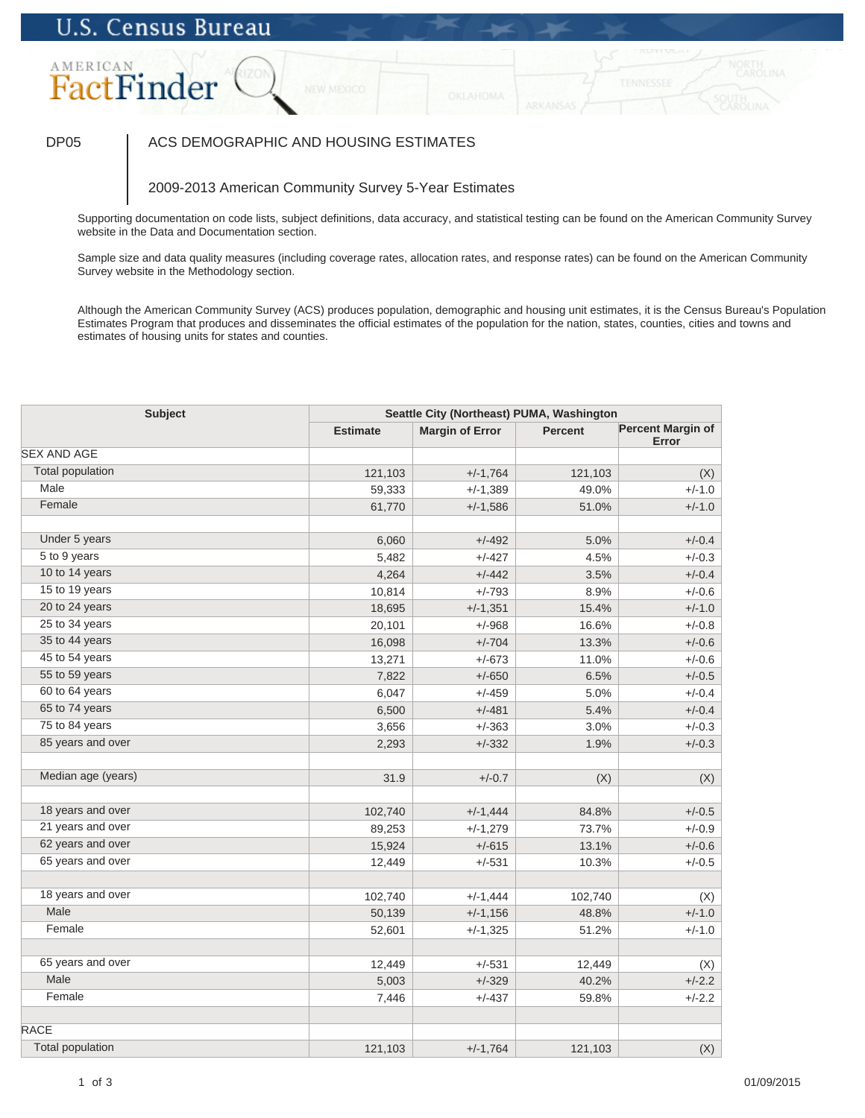# AMERICAN FactFinder

### DP05 | ACS DEMOGRAPHIC AND HOUSING ESTIMATES

### 2009-2013 American Community Survey 5-Year Estimates

Supporting documentation on code lists, subject definitions, data accuracy, and statistical testing can be found on the American Community Survey website in the Data and Documentation section.

Sample size and data quality measures (including coverage rates, allocation rates, and response rates) can be found on the American Community Survey website in the Methodology section.

| <b>Subject</b>          | Seattle City (Northeast) PUMA, Washington |                        |                |                                   |
|-------------------------|-------------------------------------------|------------------------|----------------|-----------------------------------|
|                         | <b>Estimate</b>                           | <b>Margin of Error</b> | <b>Percent</b> | <b>Percent Margin of</b><br>Error |
| <b>SEX AND AGE</b>      |                                           |                        |                |                                   |
| <b>Total population</b> | 121,103                                   | $+/-1,764$             | 121,103        | (X)                               |
| Male                    | 59,333                                    | $+/-1,389$             | 49.0%          | $+/-1.0$                          |
| Female                  | 61,770                                    | $+/-1,586$             | 51.0%          | $+/-1.0$                          |
|                         |                                           |                        |                |                                   |
| Under 5 years           | 6,060                                     | $+/-492$               | 5.0%           | $+/-0.4$                          |
| 5 to 9 years            | 5,482                                     | $+/-427$               | 4.5%           | $+/-0.3$                          |
| 10 to 14 years          | 4,264                                     | $+/-442$               | 3.5%           | $+/-0.4$                          |
| 15 to 19 years          | 10,814                                    | $+/-793$               | 8.9%           | $+/-0.6$                          |
| 20 to 24 years          | 18,695                                    | $+/-1,351$             | 15.4%          | $+/-1.0$                          |
| 25 to 34 years          | 20,101                                    | $+/-968$               | 16.6%          | $+/-0.8$                          |
| 35 to 44 years          | 16,098                                    | $+/-704$               | 13.3%          | $+/-0.6$                          |
| 45 to 54 years          | 13,271                                    | $+/-673$               | 11.0%          | $+/-0.6$                          |
| 55 to 59 years          | 7,822                                     | $+/-650$               | 6.5%           | $+/-0.5$                          |
| 60 to 64 years          | 6,047                                     | $+/-459$               | 5.0%           | $+/-0.4$                          |
| 65 to 74 years          | 6,500                                     | $+/-481$               | 5.4%           | $+/-0.4$                          |
| 75 to 84 years          | 3,656                                     | $+/-363$               | 3.0%           | $+/-0.3$                          |
| 85 years and over       | 2,293                                     | $+/-332$               | 1.9%           | $+/-0.3$                          |
| Median age (years)      | 31.9                                      | $+/-0.7$               | (X)            | (X)                               |
| 18 years and over       | 102,740                                   | $+/-1,444$             | 84.8%          | $+/-0.5$                          |
| 21 years and over       | 89,253                                    | $+/-1,279$             | 73.7%          | $+/-0.9$                          |
| 62 years and over       | 15,924                                    | $+/-615$               | 13.1%          | $+/-0.6$                          |
| 65 years and over       | 12,449                                    | $+/-531$               | 10.3%          | $+/-0.5$                          |
| 18 years and over       | 102,740                                   | $+/-1,444$             | 102,740        | (X)                               |
| Male                    | 50,139                                    | $+/-1,156$             | 48.8%          | $+/-1.0$                          |
| Female                  | 52,601                                    | $+/-1,325$             | 51.2%          | $+/-1.0$                          |
|                         |                                           |                        |                |                                   |
| 65 years and over       | 12,449                                    | $+/-531$               | 12,449         | (X)                               |
| Male                    | 5,003                                     | $+/-329$               | 40.2%          | $+/-2.2$                          |
| Female                  | 7,446                                     | $+/-437$               | 59.8%          | $+/-2.2$                          |
| <b>RACE</b>             |                                           |                        |                |                                   |
| <b>Total population</b> | 121,103                                   | $+/-1,764$             | 121,103        | (X)                               |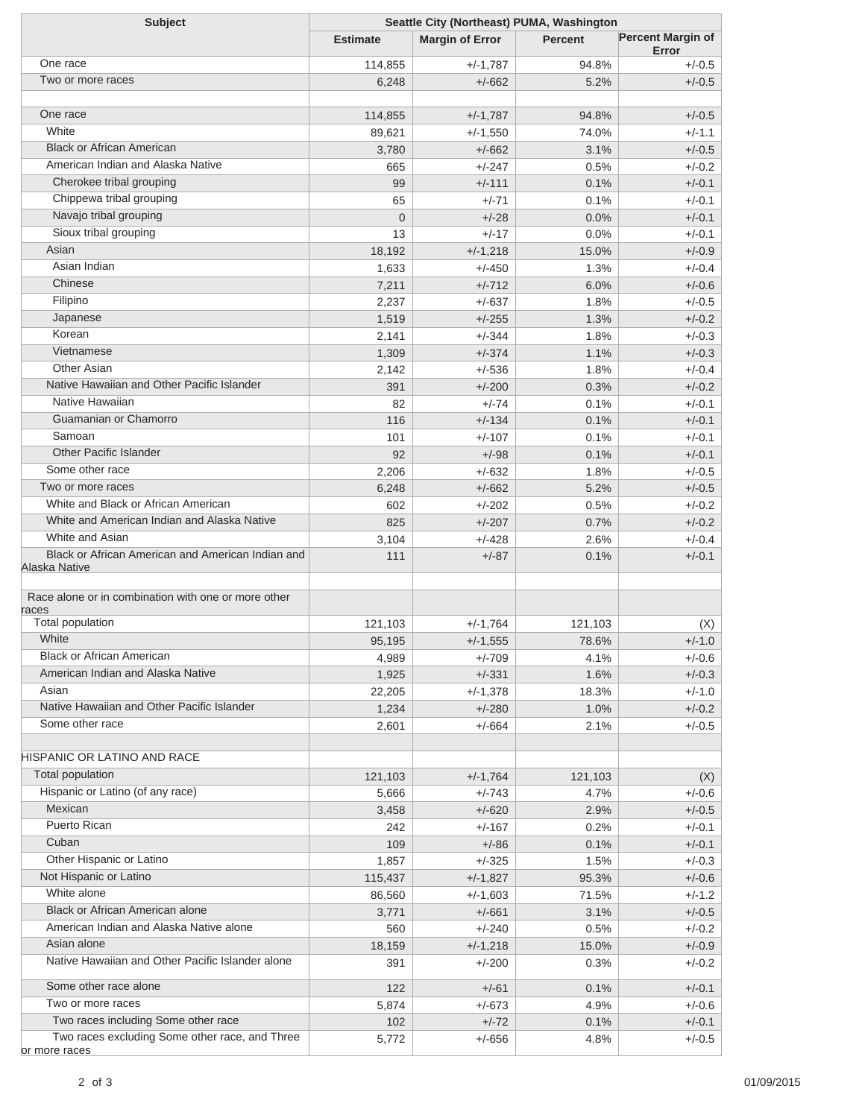| <b>Subject</b>                                                     | Seattle City (Northeast) PUMA, Washington |                        |                |                                   |  |
|--------------------------------------------------------------------|-------------------------------------------|------------------------|----------------|-----------------------------------|--|
|                                                                    | <b>Estimate</b>                           | <b>Margin of Error</b> | <b>Percent</b> | <b>Percent Margin of</b><br>Error |  |
| One race                                                           | 114,855                                   | $+/-1,787$             | 94.8%          | $+/-0.5$                          |  |
| Two or more races                                                  | 6,248                                     | $+/-662$               | 5.2%           | $+/-0.5$                          |  |
|                                                                    |                                           |                        |                |                                   |  |
| One race                                                           | 114,855                                   | $+/-1,787$             | 94.8%          | $+/-0.5$                          |  |
| White                                                              | 89,621                                    | $+/-1,550$             | 74.0%          | $+/-1.1$                          |  |
| <b>Black or African American</b>                                   | 3,780                                     | $+/-662$               | 3.1%           | $+/-0.5$                          |  |
| American Indian and Alaska Native                                  | 665                                       | $+/-247$               | 0.5%           | $+/-0.2$                          |  |
| Cherokee tribal grouping                                           | 99                                        | $+/-111$               | 0.1%           | $+/-0.1$                          |  |
| Chippewa tribal grouping                                           | 65                                        | $+/-71$                | 0.1%           | $+/-0.1$                          |  |
| Navajo tribal grouping                                             | $\overline{0}$                            | $+/-28$                | 0.0%           | $+/-0.1$                          |  |
| Sioux tribal grouping                                              | 13                                        | $+/-17$                | 0.0%           | $+/-0.1$                          |  |
| Asian                                                              | 18,192                                    | $+/-1,218$             | 15.0%          | $+/-0.9$                          |  |
| Asian Indian                                                       | 1,633                                     | $+/-450$               | 1.3%           | $+/-0.4$                          |  |
| Chinese                                                            | 7,211                                     | $+/-712$               | 6.0%           | $+/-0.6$                          |  |
| Filipino                                                           | 2,237                                     | $+/-637$               | 1.8%           | $+/-0.5$                          |  |
| Japanese                                                           | 1,519                                     | $+/-255$               | 1.3%           | $+/-0.2$                          |  |
| Korean                                                             | 2,141                                     | $+/-344$               | 1.8%           | $+/-0.3$                          |  |
| Vietnamese                                                         | 1,309                                     | $+/-374$               | 1.1%           | $+/-0.3$                          |  |
| <b>Other Asian</b>                                                 | 2,142                                     | $+/-536$               | 1.8%           | $+/-0.4$                          |  |
| Native Hawaiian and Other Pacific Islander                         | 391                                       | $+/-200$               | 0.3%           | $+/-0.2$                          |  |
| Native Hawaiian                                                    | 82                                        | $+/-74$                | 0.1%           | $+/-0.1$                          |  |
| Guamanian or Chamorro                                              | 116                                       | $+/-134$               | 0.1%           | $+/-0.1$                          |  |
| Samoan                                                             |                                           |                        |                |                                   |  |
| <b>Other Pacific Islander</b>                                      | 101                                       | $+/-107$               | 0.1%           | $+/-0.1$                          |  |
| Some other race                                                    | 92                                        | $+/-98$                | 0.1%           | $+/-0.1$                          |  |
| Two or more races                                                  | 2,206                                     | $+/-632$               | 1.8%           | $+/-0.5$                          |  |
| White and Black or African American                                | 6,248                                     | $+/-662$               | 5.2%           | $+/-0.5$                          |  |
| White and American Indian and Alaska Native                        | 602                                       | $+/-202$               | 0.5%           | $+/-0.2$                          |  |
|                                                                    | 825                                       | $+/-207$               | 0.7%           | $+/-0.2$                          |  |
| White and Asian                                                    | 3,104                                     | $+/-428$               | 2.6%           | $+/-0.4$                          |  |
| Black or African American and American Indian and<br>Alaska Native | 111                                       | $+/-87$                | 0.1%           | $+/-0.1$                          |  |
| Race alone or in combination with one or more other<br>races       |                                           |                        |                |                                   |  |
| Total population                                                   | 121,103                                   | $+/-1,764$             | 121,103        | (X)                               |  |
| White                                                              | 95,195                                    | $+/-1,555$             | 78.6%          | $+/-1.0$                          |  |
| <b>Black or African American</b>                                   | 4,989                                     | $+/-709$               | 4.1%           | $+/-0.6$                          |  |
| American Indian and Alaska Native                                  | 1,925                                     | $+/-331$               | 1.6%           | $+/-0.3$                          |  |
| Asian                                                              | 22,205                                    | $+/-1,378$             | 18.3%          | $+/-1.0$                          |  |
| Native Hawaiian and Other Pacific Islander                         | 1,234                                     | $+/-280$               | 1.0%           | $+/-0.2$                          |  |
| Some other race                                                    | 2,601                                     | $+/-664$               | 2.1%           | $+/-0.5$                          |  |
|                                                                    |                                           |                        |                |                                   |  |
| HISPANIC OR LATINO AND RACE                                        |                                           |                        |                |                                   |  |
| Total population                                                   | 121,103                                   | $+/-1,764$             | 121,103        | (X)                               |  |
| Hispanic or Latino (of any race)                                   | 5,666                                     | $+/-743$               | 4.7%           | $+/-0.6$                          |  |
| Mexican                                                            | 3,458                                     | $+/-620$               | 2.9%           | $+/-0.5$                          |  |
| <b>Puerto Rican</b>                                                | 242                                       | $+/-167$               | 0.2%           | $+/-0.1$                          |  |
| Cuban                                                              | 109                                       | $+/-86$                | 0.1%           | $+/-0.1$                          |  |
| Other Hispanic or Latino                                           | 1,857                                     | $+/-325$               | 1.5%           | $+/-0.3$                          |  |
| Not Hispanic or Latino                                             | 115,437                                   | $+/-1,827$             | 95.3%          | $+/-0.6$                          |  |
| White alone                                                        | 86,560                                    | $+/-1,603$             | 71.5%          | $+/-1.2$                          |  |
| Black or African American alone                                    | 3,771                                     | $+/-661$               | 3.1%           | $+/-0.5$                          |  |
| American Indian and Alaska Native alone                            | 560                                       | $+/-240$               | 0.5%           | $+/-0.2$                          |  |
| Asian alone                                                        | 18,159                                    | $+/-1,218$             | 15.0%          | $+/-0.9$                          |  |
| Native Hawaiian and Other Pacific Islander alone                   | 391                                       | $+/-200$               | 0.3%           | $+/-0.2$                          |  |
| Some other race alone                                              | 122                                       | $+/-61$                | 0.1%           | $+/-0.1$                          |  |
| Two or more races                                                  | 5,874                                     | $+/-673$               | 4.9%           | $+/-0.6$                          |  |
| Two races including Some other race                                | 102                                       | $+/-72$                | 0.1%           | $+/-0.1$                          |  |
| Two races excluding Some other race, and Three                     | 5,772                                     | $+/-656$               | 4.8%           | $+/-0.5$                          |  |
| or more races                                                      |                                           |                        |                |                                   |  |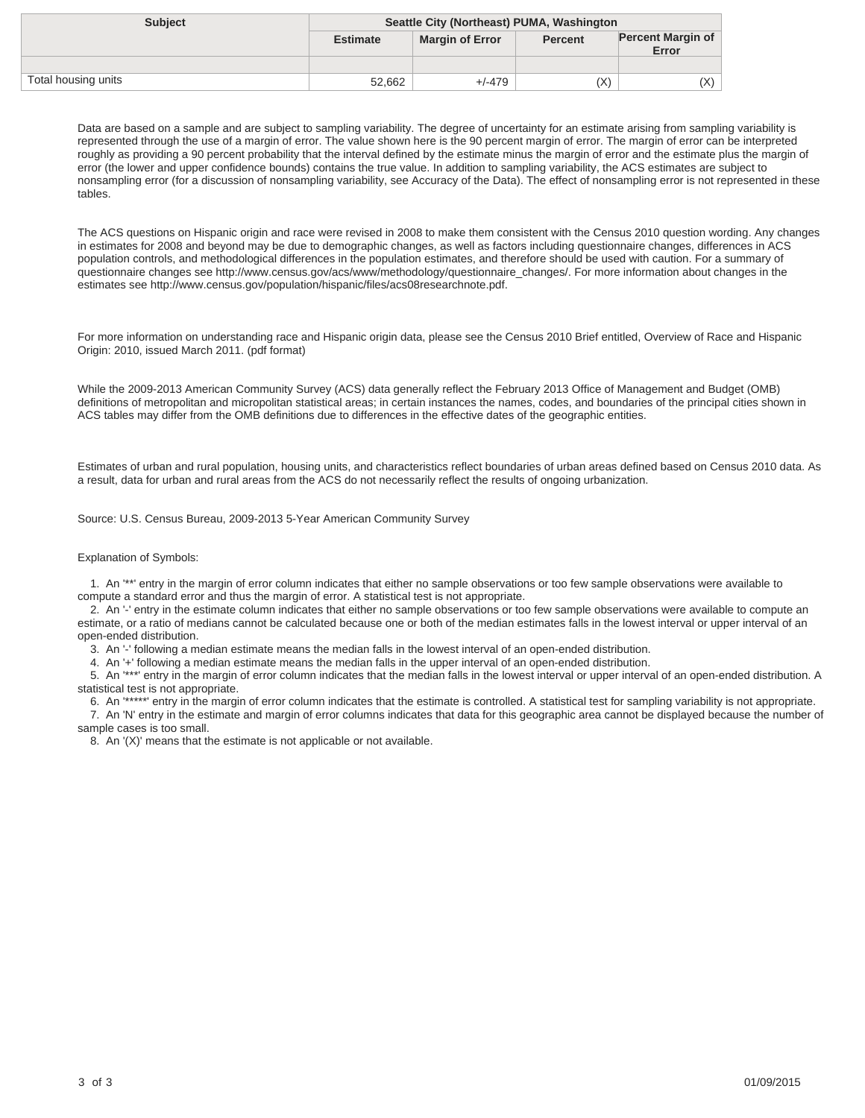| <b>Subject</b>      | Seattle City (Northeast) PUMA, Washington |                        |                |                                   |
|---------------------|-------------------------------------------|------------------------|----------------|-----------------------------------|
|                     | <b>Estimate</b>                           | <b>Margin of Error</b> | <b>Percent</b> | <b>Percent Margin of</b><br>Error |
|                     |                                           |                        |                |                                   |
| Total housing units | 52,662                                    | $+/-479$               | (X)            | (X)                               |

The ACS questions on Hispanic origin and race were revised in 2008 to make them consistent with the Census 2010 question wording. Any changes in estimates for 2008 and beyond may be due to demographic changes, as well as factors including questionnaire changes, differences in ACS population controls, and methodological differences in the population estimates, and therefore should be used with caution. For a summary of questionnaire changes see http://www.census.gov/acs/www/methodology/questionnaire\_changes/. For more information about changes in the estimates see http://www.census.gov/population/hispanic/files/acs08researchnote.pdf.

For more information on understanding race and Hispanic origin data, please see the Census 2010 Brief entitled, Overview of Race and Hispanic Origin: 2010, issued March 2011. (pdf format)

While the 2009-2013 American Community Survey (ACS) data generally reflect the February 2013 Office of Management and Budget (OMB) definitions of metropolitan and micropolitan statistical areas; in certain instances the names, codes, and boundaries of the principal cities shown in ACS tables may differ from the OMB definitions due to differences in the effective dates of the geographic entities.

Estimates of urban and rural population, housing units, and characteristics reflect boundaries of urban areas defined based on Census 2010 data. As a result, data for urban and rural areas from the ACS do not necessarily reflect the results of ongoing urbanization.

Source: U.S. Census Bureau, 2009-2013 5-Year American Community Survey

#### Explanation of Symbols:

 1. An '\*\*' entry in the margin of error column indicates that either no sample observations or too few sample observations were available to compute a standard error and thus the margin of error. A statistical test is not appropriate.

 2. An '-' entry in the estimate column indicates that either no sample observations or too few sample observations were available to compute an estimate, or a ratio of medians cannot be calculated because one or both of the median estimates falls in the lowest interval or upper interval of an open-ended distribution.

3. An '-' following a median estimate means the median falls in the lowest interval of an open-ended distribution.

4. An '+' following a median estimate means the median falls in the upper interval of an open-ended distribution.

 5. An '\*\*\*' entry in the margin of error column indicates that the median falls in the lowest interval or upper interval of an open-ended distribution. A statistical test is not appropriate.

 6. An '\*\*\*\*\*' entry in the margin of error column indicates that the estimate is controlled. A statistical test for sampling variability is not appropriate. 7. An 'N' entry in the estimate and margin of error columns indicates that data for this geographic area cannot be displayed because the number of

sample cases is too small. 8. An '(X)' means that the estimate is not applicable or not available.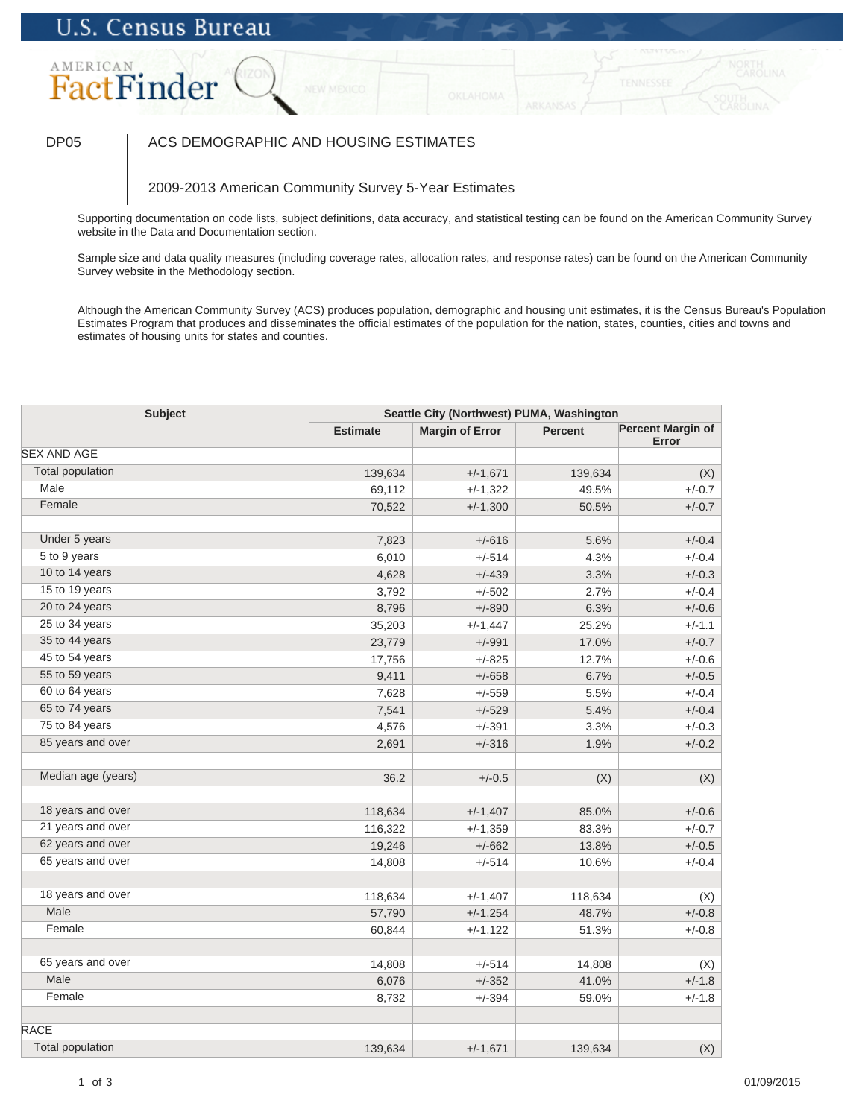# AMERICAN FactFinder

### DP05 | ACS DEMOGRAPHIC AND HOUSING ESTIMATES

### 2009-2013 American Community Survey 5-Year Estimates

Supporting documentation on code lists, subject definitions, data accuracy, and statistical testing can be found on the American Community Survey website in the Data and Documentation section.

Sample size and data quality measures (including coverage rates, allocation rates, and response rates) can be found on the American Community Survey website in the Methodology section.

| <b>Subject</b>          | Seattle City (Northwest) PUMA, Washington |                        |                |                                   |
|-------------------------|-------------------------------------------|------------------------|----------------|-----------------------------------|
|                         | <b>Estimate</b>                           | <b>Margin of Error</b> | <b>Percent</b> | <b>Percent Margin of</b><br>Error |
| <b>SEX AND AGE</b>      |                                           |                        |                |                                   |
| <b>Total population</b> | 139,634                                   | $+/-1,671$             | 139,634        | (X)                               |
| Male                    | 69,112                                    | $+/-1,322$             | 49.5%          | $+/-0.7$                          |
| Female                  | 70,522                                    | $+/-1,300$             | 50.5%          | $+/-0.7$                          |
|                         |                                           |                        |                |                                   |
| Under 5 years           | 7,823                                     | $+/-616$               | 5.6%           | $+/-0.4$                          |
| 5 to 9 years            | 6,010                                     | $+/-514$               | 4.3%           | $+/-0.4$                          |
| 10 to 14 years          | 4,628                                     | $+/-439$               | 3.3%           | $+/-0.3$                          |
| 15 to 19 years          | 3,792                                     | $+/-502$               | 2.7%           | $+/-0.4$                          |
| 20 to 24 years          | 8,796                                     | $+/-890$               | 6.3%           | $+/-0.6$                          |
| 25 to 34 years          | 35,203                                    | $+/-1,447$             | 25.2%          | $+/-1.1$                          |
| 35 to 44 years          | 23,779                                    | $+/-991$               | 17.0%          | $+/-0.7$                          |
| 45 to 54 years          | 17,756                                    | $+/-825$               | 12.7%          | $+/-0.6$                          |
| 55 to 59 years          | 9,411                                     | $+/-658$               | 6.7%           | $+/-0.5$                          |
| 60 to 64 years          | 7,628                                     | $+/-559$               | 5.5%           | $+/-0.4$                          |
| 65 to 74 years          | 7,541                                     | $+/-529$               | 5.4%           | $+/-0.4$                          |
| 75 to 84 years          | 4,576                                     | $+/-391$               | 3.3%           | $+/-0.3$                          |
| 85 years and over       | 2,691                                     | $+/-316$               | 1.9%           | $+/-0.2$                          |
| Median age (years)      | 36.2                                      | $+/-0.5$               | (X)            | (X)                               |
| 18 years and over       | 118,634                                   | $+/-1,407$             | 85.0%          | $+/-0.6$                          |
| 21 years and over       | 116,322                                   | $+/-1,359$             | 83.3%          | $+/-0.7$                          |
| 62 years and over       | 19,246                                    | $+/-662$               | 13.8%          | $+/-0.5$                          |
| 65 years and over       | 14,808                                    | $+/-514$               | 10.6%          | $+/-0.4$                          |
| 18 years and over       | 118,634                                   | $+/-1,407$             | 118,634        | (X)                               |
| Male                    | 57,790                                    | $+/-1,254$             | 48.7%          | $+/-0.8$                          |
| Female                  | 60,844                                    | $+/-1,122$             | 51.3%          | $+/-0.8$                          |
| 65 years and over       |                                           |                        |                |                                   |
| Male                    | 14,808                                    | $+/-514$               | 14,808         | (X)<br>$+/-1.8$                   |
| Female                  | 6,076                                     | $+/-352$<br>$+/-394$   | 41.0%          | $+/-1.8$                          |
|                         | 8,732                                     |                        | 59.0%          |                                   |
| <b>RACE</b>             |                                           |                        |                |                                   |
| <b>Total population</b> | 139,634                                   | $+/-1,671$             | 139,634        | (X)                               |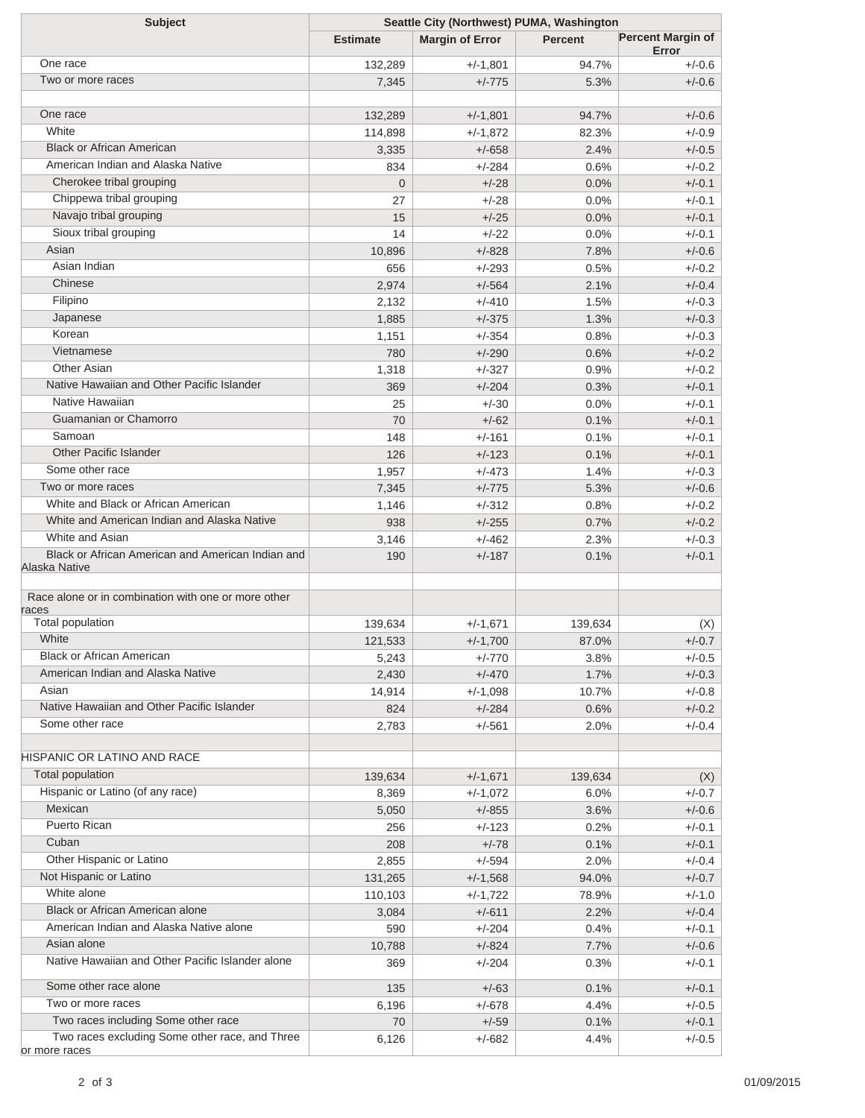| <b>Subject</b>                                      | Seattle City (Northwest) PUMA, Washington |                        |                |                                   |  |
|-----------------------------------------------------|-------------------------------------------|------------------------|----------------|-----------------------------------|--|
|                                                     | <b>Estimate</b>                           | <b>Margin of Error</b> | <b>Percent</b> | <b>Percent Margin of</b><br>Error |  |
| One race                                            | 132,289                                   | $+/-1,801$             | 94.7%          | $+/-0.6$                          |  |
| Two or more races                                   | 7,345                                     | $+/-775$               | 5.3%           | $+/-0.6$                          |  |
|                                                     |                                           |                        |                |                                   |  |
| One race                                            | 132,289                                   | $+/-1,801$             | 94.7%          | $+/-0.6$                          |  |
| White                                               | 114,898                                   | $+/-1,872$             | 82.3%          | $+/-0.9$                          |  |
| <b>Black or African American</b>                    | 3,335                                     | $+/-658$               | 2.4%           | $+/-0.5$                          |  |
| American Indian and Alaska Native                   | 834                                       | $+/-284$               | 0.6%           | $+/-0.2$                          |  |
| Cherokee tribal grouping                            | $\overline{0}$                            | $+/-28$                | 0.0%           | $+/-0.1$                          |  |
| Chippewa tribal grouping                            | 27                                        | $+/-28$                | 0.0%           | $+/-0.1$                          |  |
| Navajo tribal grouping                              | 15                                        | $+/-25$                | 0.0%           | $+/-0.1$                          |  |
| Sioux tribal grouping                               | 14                                        | $+/-22$                | 0.0%           | $+/-0.1$                          |  |
| Asian                                               | 10,896                                    | $+/-828$               | 7.8%           | $+/-0.6$                          |  |
| Asian Indian                                        | 656                                       | $+/-293$               | 0.5%           | $+/-0.2$                          |  |
| Chinese                                             | 2,974                                     | $+/-564$               | 2.1%           | $+/-0.4$                          |  |
| Filipino                                            | 2,132                                     | $+/-410$               | 1.5%           | $+/-0.3$                          |  |
| Japanese                                            | 1,885                                     | $+/-375$               | 1.3%           | $+/-0.3$                          |  |
| Korean                                              | 1,151                                     | $+/-354$               | 0.8%           | $+/-0.3$                          |  |
| Vietnamese                                          | 780                                       | $+/-290$               | 0.6%           | $+/-0.2$                          |  |
| <b>Other Asian</b>                                  | 1,318                                     | $+/-327$               | 0.9%           | $+/-0.2$                          |  |
| Native Hawaiian and Other Pacific Islander          | 369                                       | $+/-204$               | 0.3%           | $+/-0.1$                          |  |
| Native Hawaiian                                     | 25                                        | $+/-30$                | 0.0%           | $+/-0.1$                          |  |
| Guamanian or Chamorro                               | 70                                        | $+/-62$                | 0.1%           | $+/-0.1$                          |  |
| Samoan                                              | 148                                       | $+/-161$               | 0.1%           | $+/-0.1$                          |  |
| <b>Other Pacific Islander</b>                       | 126                                       | $+/-123$               | 0.1%           | $+/-0.1$                          |  |
| Some other race                                     | 1,957                                     | $+/-473$               | 1.4%           | $+/-0.3$                          |  |
| Two or more races                                   | 7,345                                     | $+/-775$               | 5.3%           | $+/-0.6$                          |  |
| White and Black or African American                 | 1,146                                     | $+/-312$               | 0.8%           | $+/-0.2$                          |  |
| White and American Indian and Alaska Native         | 938                                       | $+/-255$               | 0.7%           | $+/-0.2$                          |  |
| White and Asian                                     | 3,146                                     | $+/-462$               | 2.3%           | $+/-0.3$                          |  |
| Black or African American and American Indian and   | 190                                       | $+/-187$               | 0.1%           | $+/-0.1$                          |  |
| Alaska Native                                       |                                           |                        |                |                                   |  |
| Race alone or in combination with one or more other |                                           |                        |                |                                   |  |
| races                                               |                                           |                        |                |                                   |  |
| Total population                                    | 139,634                                   | $+/-1,671$             | 139,634        | (X)                               |  |
| White                                               | 121,533                                   | $+/-1,700$             | 87.0%          | $+/-0.7$                          |  |
| <b>Black or African American</b>                    | 5,243                                     | $+/-770$               | 3.8%           | $+/-0.5$                          |  |
| American Indian and Alaska Native                   | 2,430                                     | $+/-470$               | 1.7%           | $+/-0.3$                          |  |
| Asian                                               | 14,914                                    | $+/-1,098$             | 10.7%          | $+/-0.8$                          |  |
| Native Hawaiian and Other Pacific Islander          | 824                                       | $+/-284$               | 0.6%           | $+/-0.2$                          |  |
| Some other race                                     | 2,783                                     | $+/-561$               | 2.0%           | $+/-0.4$                          |  |
| HISPANIC OR LATINO AND RACE                         |                                           |                        |                |                                   |  |
| Total population                                    | 139,634                                   | $+/-1,671$             | 139,634        | (X)                               |  |
| Hispanic or Latino (of any race)                    | 8,369                                     | $+/-1,072$             | 6.0%           | $+/-0.7$                          |  |
| Mexican                                             | 5,050                                     | $+/-855$               | 3.6%           | $+/-0.6$                          |  |
| <b>Puerto Rican</b>                                 | 256                                       | $+/-123$               | 0.2%           | $+/-0.1$                          |  |
| Cuban                                               | 208                                       | $+/-78$                | 0.1%           | $+/-0.1$                          |  |
| Other Hispanic or Latino                            | 2,855                                     | $+/-594$               | 2.0%           | $+/-0.4$                          |  |
| Not Hispanic or Latino                              | 131,265                                   | $+/-1,568$             | 94.0%          | $+/-0.7$                          |  |
| White alone                                         | 110,103                                   | $+/-1,722$             | 78.9%          | $+/-1.0$                          |  |
| Black or African American alone                     | 3,084                                     | $+/-611$               | 2.2%           | $+/-0.4$                          |  |
| American Indian and Alaska Native alone             | 590                                       | $+/-204$               | 0.4%           | $+/-0.1$                          |  |
| Asian alone                                         | 10,788                                    | $+/-824$               | 7.7%           | $+/-0.6$                          |  |
| Native Hawaiian and Other Pacific Islander alone    | 369                                       | $+/-204$               | 0.3%           | $+/-0.1$                          |  |
| Some other race alone                               | 135                                       | $+/-63$                | 0.1%           | $+/-0.1$                          |  |
| Two or more races                                   | 6,196                                     | $+/-678$               | 4.4%           | $+/-0.5$                          |  |
| Two races including Some other race                 | 70                                        | $+/-59$                | 0.1%           | $+/-0.1$                          |  |
| Two races excluding Some other race, and Three      | 6,126                                     | $+/-682$               | 4.4%           | $+/-0.5$                          |  |
| or more races                                       |                                           |                        |                |                                   |  |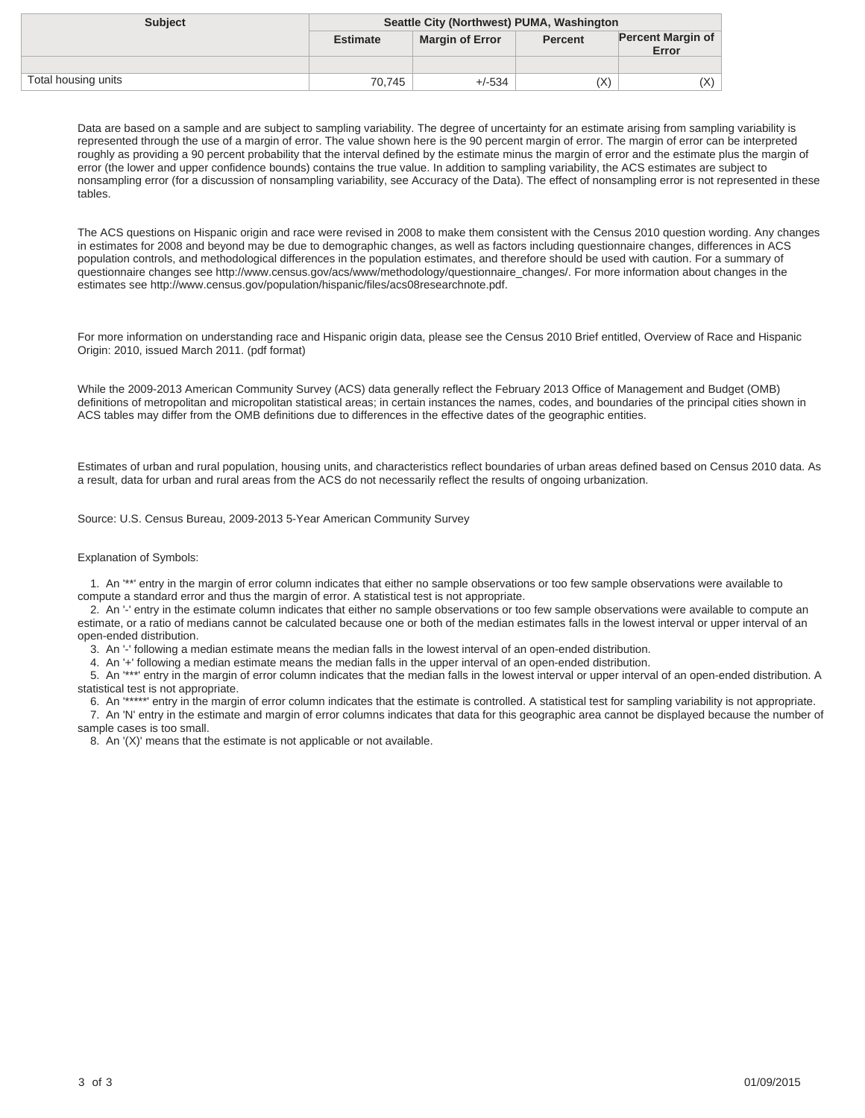| <b>Subject</b>      | Seattle City (Northwest) PUMA, Washington |                        |                |                                   |
|---------------------|-------------------------------------------|------------------------|----------------|-----------------------------------|
|                     | <b>Estimate</b>                           | <b>Margin of Error</b> | <b>Percent</b> | <b>Percent Margin of</b><br>Error |
|                     |                                           |                        |                |                                   |
| Total housing units | 70.745                                    | $+/-534$               | (X)            | X)                                |

The ACS questions on Hispanic origin and race were revised in 2008 to make them consistent with the Census 2010 question wording. Any changes in estimates for 2008 and beyond may be due to demographic changes, as well as factors including questionnaire changes, differences in ACS population controls, and methodological differences in the population estimates, and therefore should be used with caution. For a summary of questionnaire changes see http://www.census.gov/acs/www/methodology/questionnaire\_changes/. For more information about changes in the estimates see http://www.census.gov/population/hispanic/files/acs08researchnote.pdf.

For more information on understanding race and Hispanic origin data, please see the Census 2010 Brief entitled, Overview of Race and Hispanic Origin: 2010, issued March 2011. (pdf format)

While the 2009-2013 American Community Survey (ACS) data generally reflect the February 2013 Office of Management and Budget (OMB) definitions of metropolitan and micropolitan statistical areas; in certain instances the names, codes, and boundaries of the principal cities shown in ACS tables may differ from the OMB definitions due to differences in the effective dates of the geographic entities.

Estimates of urban and rural population, housing units, and characteristics reflect boundaries of urban areas defined based on Census 2010 data. As a result, data for urban and rural areas from the ACS do not necessarily reflect the results of ongoing urbanization.

Source: U.S. Census Bureau, 2009-2013 5-Year American Community Survey

#### Explanation of Symbols:

 1. An '\*\*' entry in the margin of error column indicates that either no sample observations or too few sample observations were available to compute a standard error and thus the margin of error. A statistical test is not appropriate.

 2. An '-' entry in the estimate column indicates that either no sample observations or too few sample observations were available to compute an estimate, or a ratio of medians cannot be calculated because one or both of the median estimates falls in the lowest interval or upper interval of an open-ended distribution.

3. An '-' following a median estimate means the median falls in the lowest interval of an open-ended distribution.

4. An '+' following a median estimate means the median falls in the upper interval of an open-ended distribution.

 5. An '\*\*\*' entry in the margin of error column indicates that the median falls in the lowest interval or upper interval of an open-ended distribution. A statistical test is not appropriate.

 6. An '\*\*\*\*\*' entry in the margin of error column indicates that the estimate is controlled. A statistical test for sampling variability is not appropriate. 7. An 'N' entry in the estimate and margin of error columns indicates that data for this geographic area cannot be displayed because the number of

sample cases is too small. 8. An '(X)' means that the estimate is not applicable or not available.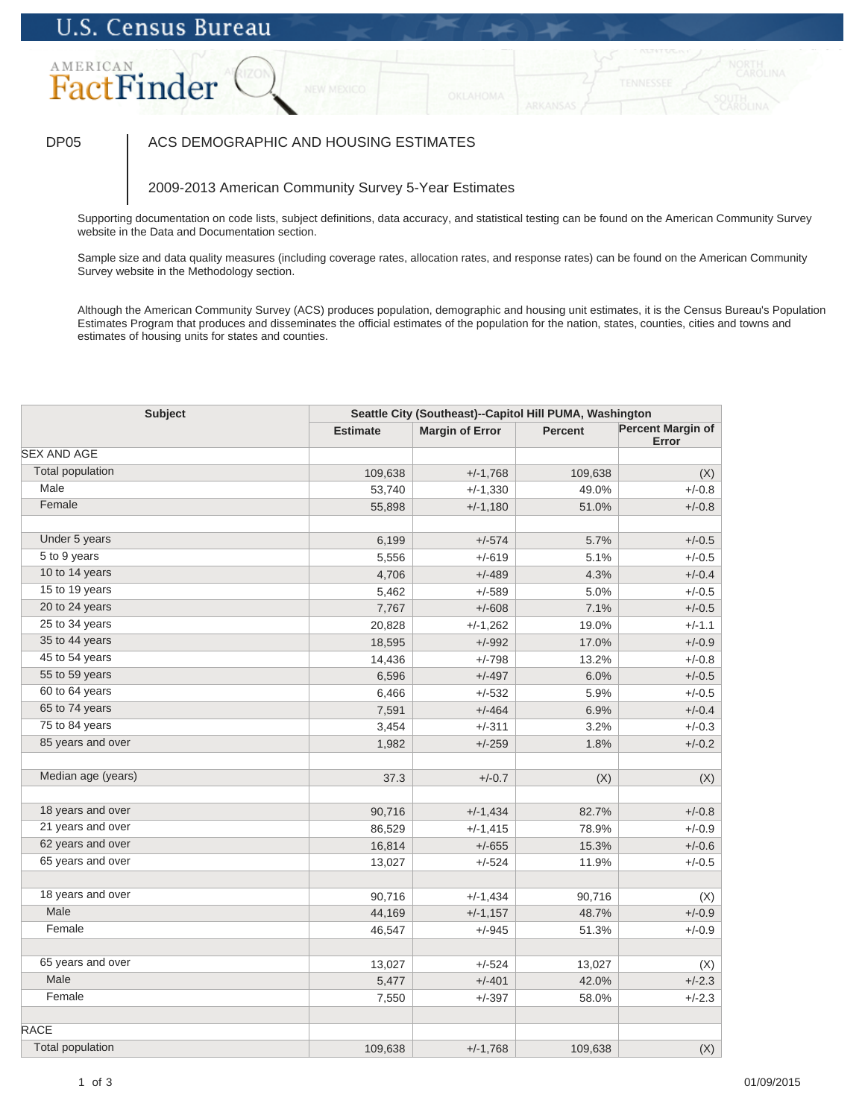# AMERICAN FactFinder

### DP05 | ACS DEMOGRAPHIC AND HOUSING ESTIMATES

### 2009-2013 American Community Survey 5-Year Estimates

Supporting documentation on code lists, subject definitions, data accuracy, and statistical testing can be found on the American Community Survey website in the Data and Documentation section.

Sample size and data quality measures (including coverage rates, allocation rates, and response rates) can be found on the American Community Survey website in the Methodology section.

| <b>Subject</b>          |                 | Seattle City (Southeast)--Capitol Hill PUMA, Washington |         |                                   |  |
|-------------------------|-----------------|---------------------------------------------------------|---------|-----------------------------------|--|
|                         | <b>Estimate</b> | <b>Margin of Error</b>                                  | Percent | <b>Percent Margin of</b><br>Error |  |
| <b>SEX AND AGE</b>      |                 |                                                         |         |                                   |  |
| <b>Total population</b> | 109,638         | $+/-1,768$                                              | 109,638 | (X)                               |  |
| Male                    | 53,740          | $+/-1,330$                                              | 49.0%   | $+/-0.8$                          |  |
| Female                  | 55,898          | $+/-1,180$                                              | 51.0%   | $+/-0.8$                          |  |
| Under 5 years           | 6,199           | $+/-574$                                                | 5.7%    | $+/-0.5$                          |  |
| 5 to 9 years            | 5,556           | $+/-619$                                                | 5.1%    | $+/-0.5$                          |  |
| 10 to 14 years          | 4,706           | $+/-489$                                                | 4.3%    | $+/-0.4$                          |  |
| 15 to 19 years          | 5,462           | $+/-589$                                                | 5.0%    | $+/-0.5$                          |  |
| 20 to 24 years          | 7,767           | $+/-608$                                                | 7.1%    | $+/-0.5$                          |  |
| 25 to 34 years          | 20,828          | $+/-1,262$                                              | 19.0%   | $+/-1.1$                          |  |
| 35 to 44 years          | 18,595          | $+/-992$                                                | 17.0%   | $+/-0.9$                          |  |
| 45 to 54 years          | 14,436          | $+/-798$                                                | 13.2%   | $+/-0.8$                          |  |
| 55 to 59 years          | 6,596           | $+/-497$                                                | 6.0%    | $+/-0.5$                          |  |
| 60 to 64 years          | 6,466           | $+/-532$                                                | 5.9%    | $+/-0.5$                          |  |
| 65 to 74 years          | 7,591           | $+/-464$                                                | 6.9%    | $+/-0.4$                          |  |
| 75 to 84 years          | 3,454           | $+/-311$                                                | 3.2%    | $+/-0.3$                          |  |
| 85 years and over       | 1,982           | $+/-259$                                                | 1.8%    | $+/-0.2$                          |  |
| Median age (years)      | 37.3            | $+/-0.7$                                                | (X)     | (X)                               |  |
|                         |                 |                                                         |         |                                   |  |
| 18 years and over       | 90,716          | $+/-1,434$                                              | 82.7%   | $+/-0.8$                          |  |
| 21 years and over       | 86,529          | $+/-1,415$                                              | 78.9%   | $+/-0.9$                          |  |
| 62 years and over       | 16,814          | $+/-655$                                                | 15.3%   | $+/-0.6$                          |  |
| 65 years and over       | 13,027          | $+/-524$                                                | 11.9%   | $+/-0.5$                          |  |
| 18 years and over       | 90,716          | $+/-1,434$                                              | 90,716  | (X)                               |  |
| Male                    | 44,169          | $+/-1,157$                                              | 48.7%   | $+/-0.9$                          |  |
| Female                  | 46,547          | $+/-945$                                                | 51.3%   | $+/-0.9$                          |  |
|                         |                 |                                                         |         |                                   |  |
| 65 years and over       | 13,027          | $+/-524$                                                | 13,027  | (X)                               |  |
| Male                    | 5,477           | $+/-401$                                                | 42.0%   | $+/-2.3$                          |  |
| Female                  | 7,550           | $+/-397$                                                | 58.0%   | $+/-2.3$                          |  |
| <b>RACE</b>             |                 |                                                         |         |                                   |  |
| <b>Total population</b> | 109,638         | $+/-1,768$                                              | 109,638 | (X)                               |  |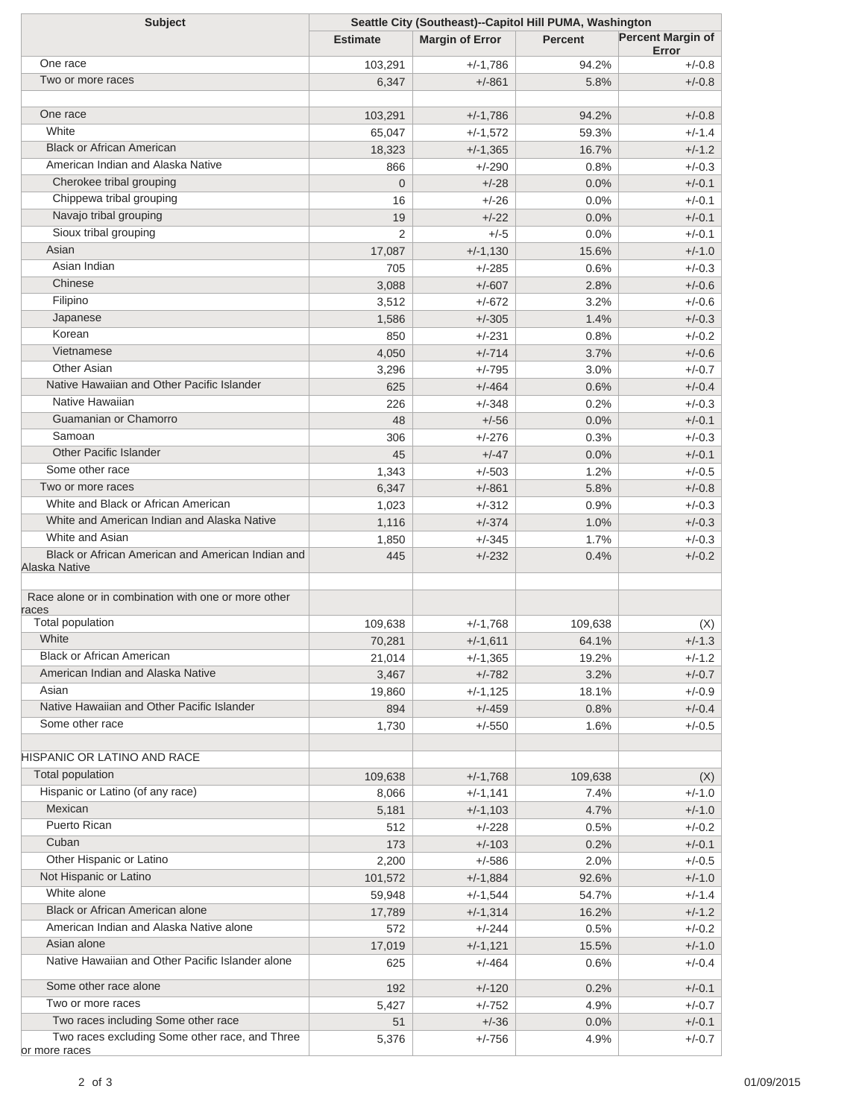| <b>Subject</b>                                      | Seattle City (Southeast)--Capitol Hill PUMA, Washington |                        |                |                                   |
|-----------------------------------------------------|---------------------------------------------------------|------------------------|----------------|-----------------------------------|
|                                                     | <b>Estimate</b>                                         | <b>Margin of Error</b> | <b>Percent</b> | <b>Percent Margin of</b><br>Error |
| One race                                            | 103,291                                                 | $+/-1,786$             | 94.2%          | $+/-0.8$                          |
| Two or more races                                   | 6,347                                                   | $+/-861$               | 5.8%           | $+/-0.8$                          |
|                                                     |                                                         |                        |                |                                   |
| One race                                            | 103,291                                                 | $+/-1,786$             | 94.2%          | $+/-0.8$                          |
| White                                               | 65,047                                                  | $+/-1,572$             | 59.3%          | $+/-1.4$                          |
| <b>Black or African American</b>                    | 18,323                                                  | $+/-1,365$             | 16.7%          | $+/-1.2$                          |
| American Indian and Alaska Native                   | 866                                                     | $+/-290$               | 0.8%           | $+/-0.3$                          |
| Cherokee tribal grouping                            | $\overline{0}$                                          | $+/-28$                | 0.0%           | $+/-0.1$                          |
| Chippewa tribal grouping                            | 16                                                      | $+/-26$                | 0.0%           | $+/-0.1$                          |
| Navajo tribal grouping                              | 19                                                      | $+/-22$                | 0.0%           | $+/-0.1$                          |
| Sioux tribal grouping                               | $\overline{2}$                                          | $+/-5$                 | 0.0%           | $+/-0.1$                          |
| Asian                                               | 17,087                                                  | $+/-1,130$             | 15.6%          | $+/-1.0$                          |
| Asian Indian                                        | 705                                                     | $+/-285$               | 0.6%           | $+/-0.3$                          |
| Chinese                                             | 3,088                                                   | $+/-607$               | 2.8%           | $+/-0.6$                          |
| Filipino                                            | 3,512                                                   | $+/-672$               | 3.2%           | $+/-0.6$                          |
| Japanese                                            | 1,586                                                   | $+/-305$               | 1.4%           | $+/-0.3$                          |
| Korean                                              | 850                                                     | $+/-231$               | 0.8%           | $+/-0.2$                          |
| Vietnamese                                          | 4,050                                                   | $+/-714$               | 3.7%           | $+/-0.6$                          |
| Other Asian                                         | 3,296                                                   | $+/-795$               | 3.0%           | $+/-0.7$                          |
| Native Hawaiian and Other Pacific Islander          | 625                                                     | $+/-464$               | 0.6%           | $+/-0.4$                          |
| Native Hawaiian                                     | 226                                                     | $+/-348$               | 0.2%           | $+/-0.3$                          |
| Guamanian or Chamorro                               | 48                                                      | $+/-56$                | 0.0%           | $+/-0.1$                          |
| Samoan                                              | 306                                                     | $+/-276$               | 0.3%           | $+/-0.3$                          |
| <b>Other Pacific Islander</b>                       | 45                                                      | $+/-47$                | 0.0%           | $+/-0.1$                          |
| Some other race                                     | 1,343                                                   | $+/-503$               | 1.2%           | $+/-0.5$                          |
| Two or more races                                   | 6,347                                                   | $+/-861$               | 5.8%           | $+/-0.8$                          |
| White and Black or African American                 | 1,023                                                   | $+/-312$               | 0.9%           | $+/-0.3$                          |
| White and American Indian and Alaska Native         | 1,116                                                   | $+/-374$               | 1.0%           | $+/-0.3$                          |
| White and Asian                                     | 1,850                                                   | $+/-345$               | 1.7%           | $+/-0.3$                          |
| Black or African American and American Indian and   | 445                                                     | $+/-232$               | 0.4%           | $+/-0.2$                          |
| Alaska Native                                       |                                                         |                        |                |                                   |
| Race alone or in combination with one or more other |                                                         |                        |                |                                   |
| races                                               |                                                         |                        |                |                                   |
| <b>Total population</b>                             | 109,638                                                 | $+/-1,768$             | 109,638        | (X)                               |
| White                                               | 70,281                                                  | $+/-1,611$             | 64.1%          | $+/-1.3$                          |
| <b>Black or African American</b>                    | 21,014                                                  | $+/-1,365$             | 19.2%          | $+/-1.2$                          |
| American Indian and Alaska Native                   | 3,467                                                   | $+/-782$               | 3.2%           | $+/-0.7$                          |
| Asian                                               | 19,860                                                  | $+/-1,125$             | 18.1%          | $+/-0.9$                          |
| Native Hawaiian and Other Pacific Islander          | 894                                                     | $+/-459$               | 0.8%           | $+/-0.4$                          |
| Some other race                                     | 1,730                                                   | $+/-550$               | 1.6%           | $+/-0.5$                          |
| HISPANIC OR LATINO AND RACE                         |                                                         |                        |                |                                   |
| Total population                                    | 109,638                                                 |                        | 109,638        |                                   |
| Hispanic or Latino (of any race)                    | 8,066                                                   | $+/-1,768$             | 7.4%           | (X)<br>$+/-1.0$                   |
| Mexican                                             | 5,181                                                   | $+/-1,141$             | 4.7%           | $+/-1.0$                          |
| <b>Puerto Rican</b>                                 |                                                         | $+/-1,103$             |                |                                   |
| Cuban                                               | 512                                                     | $+/-228$               | 0.5%           | $+/-0.2$                          |
| Other Hispanic or Latino                            | 173                                                     | $+/-103$               | 0.2%           | $+/-0.1$                          |
| Not Hispanic or Latino                              | 2,200                                                   | $+/-586$               | 2.0%           | $+/-0.5$                          |
| White alone                                         | 101,572                                                 | $+/-1,884$             | 92.6%          | $+/-1.0$                          |
| <b>Black or African American alone</b>              | 59,948                                                  | $+/-1,544$             | 54.7%          | $+/-1.4$                          |
| American Indian and Alaska Native alone             | 17,789                                                  | $+/-1,314$             | 16.2%          | $+/-1.2$                          |
| Asian alone                                         | 572                                                     | $+/-244$               | 0.5%           | $+/-0.2$                          |
|                                                     | 17,019                                                  | $+/-1,121$             | 15.5%          | $+/-1.0$                          |
| Native Hawaiian and Other Pacific Islander alone    | 625                                                     | $+/-464$               | 0.6%           | $+/-0.4$                          |
| Some other race alone                               | 192                                                     | $+/-120$               | 0.2%           | $+/-0.1$                          |
| Two or more races                                   | 5,427                                                   | $+/-752$               | 4.9%           | $+/-0.7$                          |
| Two races including Some other race                 | 51                                                      | $+/-36$                | 0.0%           | $+/-0.1$                          |
| Two races excluding Some other race, and Three      | 5,376                                                   | $+/-756$               | 4.9%           | $+/-0.7$                          |
| or more races                                       |                                                         |                        |                |                                   |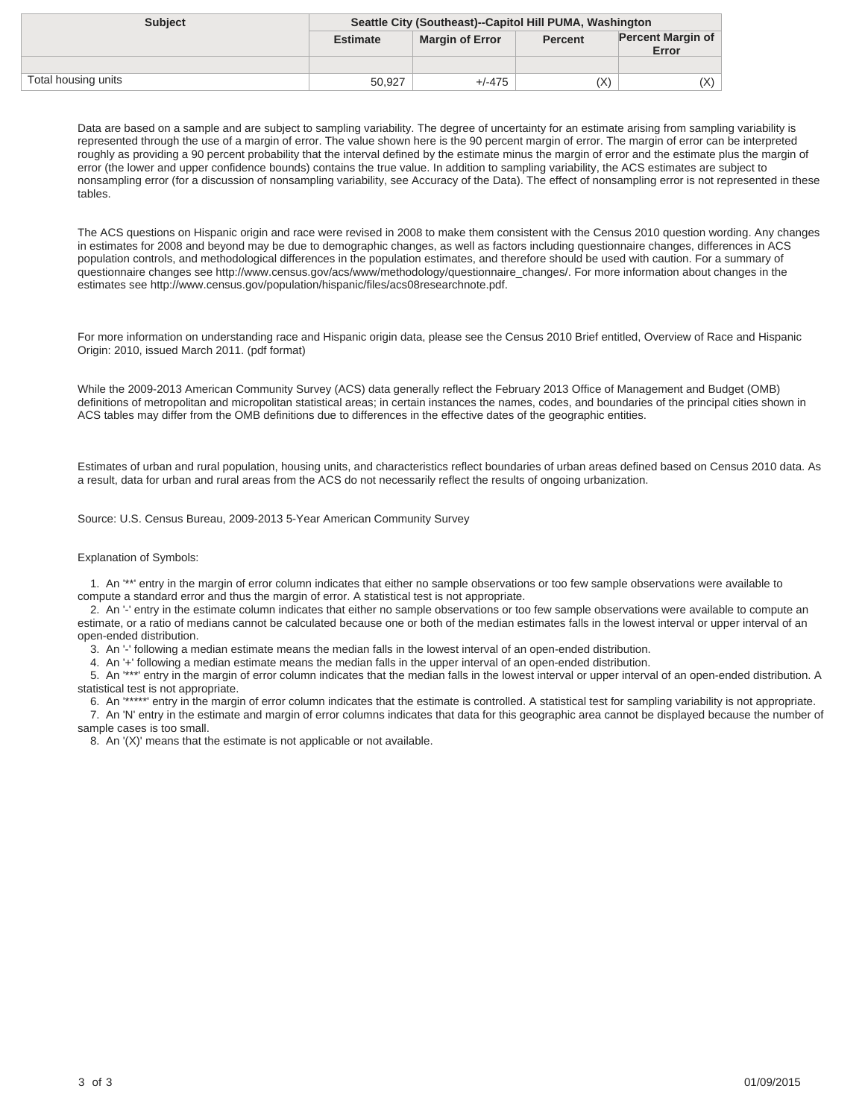| <b>Subject</b>      | Seattle City (Southeast)--Capitol Hill PUMA, Washington |                        |                |                                   |
|---------------------|---------------------------------------------------------|------------------------|----------------|-----------------------------------|
|                     | <b>Estimate</b>                                         | <b>Margin of Error</b> | <b>Percent</b> | <b>Percent Margin of</b><br>Error |
|                     |                                                         |                        |                |                                   |
| Total housing units | 50,927                                                  | $+/-475$               | (X)            | (X)                               |

The ACS questions on Hispanic origin and race were revised in 2008 to make them consistent with the Census 2010 question wording. Any changes in estimates for 2008 and beyond may be due to demographic changes, as well as factors including questionnaire changes, differences in ACS population controls, and methodological differences in the population estimates, and therefore should be used with caution. For a summary of questionnaire changes see http://www.census.gov/acs/www/methodology/questionnaire\_changes/. For more information about changes in the estimates see http://www.census.gov/population/hispanic/files/acs08researchnote.pdf.

For more information on understanding race and Hispanic origin data, please see the Census 2010 Brief entitled, Overview of Race and Hispanic Origin: 2010, issued March 2011. (pdf format)

While the 2009-2013 American Community Survey (ACS) data generally reflect the February 2013 Office of Management and Budget (OMB) definitions of metropolitan and micropolitan statistical areas; in certain instances the names, codes, and boundaries of the principal cities shown in ACS tables may differ from the OMB definitions due to differences in the effective dates of the geographic entities.

Estimates of urban and rural population, housing units, and characteristics reflect boundaries of urban areas defined based on Census 2010 data. As a result, data for urban and rural areas from the ACS do not necessarily reflect the results of ongoing urbanization.

Source: U.S. Census Bureau, 2009-2013 5-Year American Community Survey

#### Explanation of Symbols:

 1. An '\*\*' entry in the margin of error column indicates that either no sample observations or too few sample observations were available to compute a standard error and thus the margin of error. A statistical test is not appropriate.

 2. An '-' entry in the estimate column indicates that either no sample observations or too few sample observations were available to compute an estimate, or a ratio of medians cannot be calculated because one or both of the median estimates falls in the lowest interval or upper interval of an open-ended distribution.

3. An '-' following a median estimate means the median falls in the lowest interval of an open-ended distribution.

4. An '+' following a median estimate means the median falls in the upper interval of an open-ended distribution.

 5. An '\*\*\*' entry in the margin of error column indicates that the median falls in the lowest interval or upper interval of an open-ended distribution. A statistical test is not appropriate.

 6. An '\*\*\*\*\*' entry in the margin of error column indicates that the estimate is controlled. A statistical test for sampling variability is not appropriate. 7. An 'N' entry in the estimate and margin of error columns indicates that data for this geographic area cannot be displayed because the number of

sample cases is too small. 8. An '(X)' means that the estimate is not applicable or not available.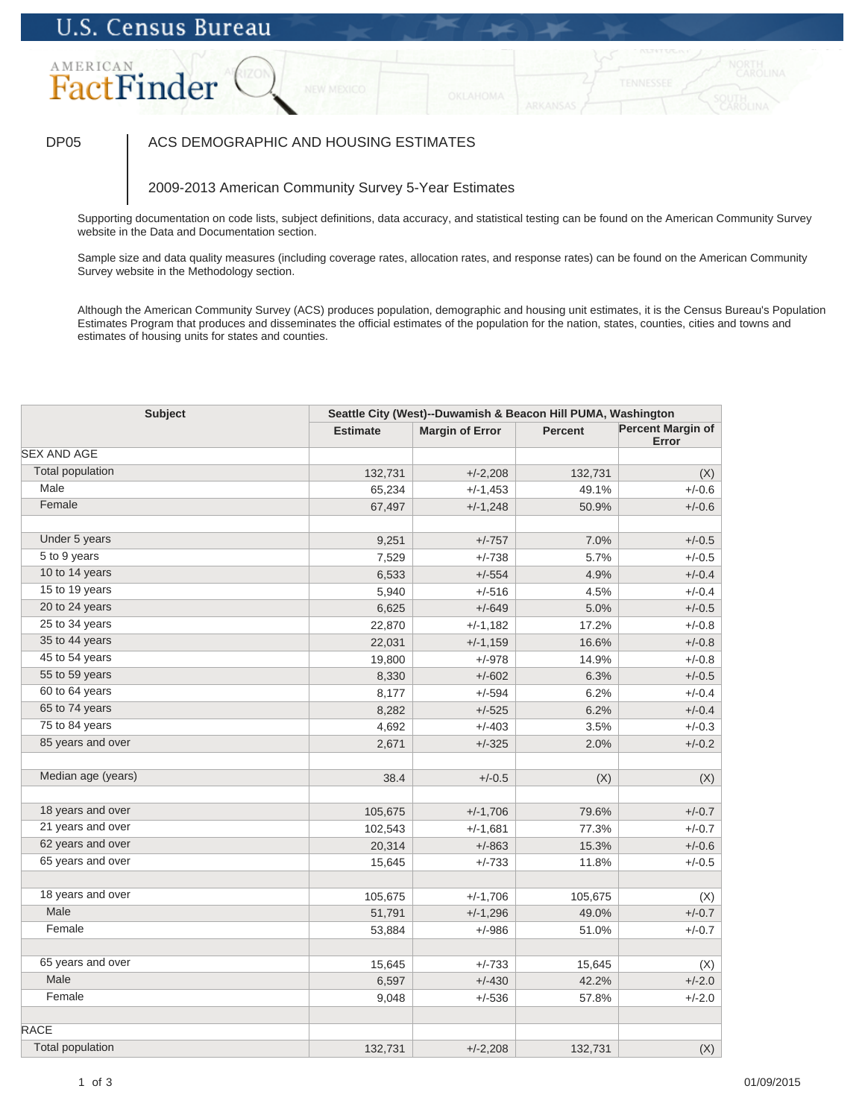### AMERICAN FactFinder

### DP05 | ACS DEMOGRAPHIC AND HOUSING ESTIMATES

### 2009-2013 American Community Survey 5-Year Estimates

Supporting documentation on code lists, subject definitions, data accuracy, and statistical testing can be found on the American Community Survey website in the Data and Documentation section.

Sample size and data quality measures (including coverage rates, allocation rates, and response rates) can be found on the American Community Survey website in the Methodology section.

| <b>Subject</b>          |                 | Seattle City (West)--Duwamish & Beacon Hill PUMA, Washington |                |                                   |  |
|-------------------------|-----------------|--------------------------------------------------------------|----------------|-----------------------------------|--|
|                         | <b>Estimate</b> | <b>Margin of Error</b>                                       | <b>Percent</b> | <b>Percent Margin of</b><br>Error |  |
| <b>SEX AND AGE</b>      |                 |                                                              |                |                                   |  |
| <b>Total population</b> | 132,731         | $+/-2,208$                                                   | 132,731        | (X)                               |  |
| Male                    | 65,234          | $+/-1,453$                                                   | 49.1%          | $+/-0.6$                          |  |
| Female                  | 67,497          | $+/-1,248$                                                   | 50.9%          | $+/-0.6$                          |  |
|                         |                 |                                                              |                |                                   |  |
| Under 5 years           | 9,251           | $+/-757$                                                     | 7.0%           | $+/-0.5$                          |  |
| 5 to 9 years            | 7,529           | $+/-738$                                                     | 5.7%           | $+/-0.5$                          |  |
| 10 to 14 years          | 6,533           | $+/-554$                                                     | 4.9%           | $+/-0.4$                          |  |
| 15 to 19 years          | 5,940           | $+/-516$                                                     | 4.5%           | $+/-0.4$                          |  |
| 20 to 24 years          | 6,625           | $+/-649$                                                     | 5.0%           | $+/-0.5$                          |  |
| 25 to 34 years          | 22,870          | $+/-1,182$                                                   | 17.2%          | $+/-0.8$                          |  |
| 35 to 44 years          | 22,031          | $+/-1,159$                                                   | 16.6%          | $+/-0.8$                          |  |
| 45 to 54 years          | 19,800          | $+/-978$                                                     | 14.9%          | $+/-0.8$                          |  |
| 55 to 59 years          | 8,330           | $+/-602$                                                     | 6.3%           | $+/-0.5$                          |  |
| 60 to 64 years          | 8,177           | $+/-594$                                                     | 6.2%           | $+/-0.4$                          |  |
| 65 to 74 years          | 8,282           | $+/-525$                                                     | 6.2%           | $+/-0.4$                          |  |
| 75 to 84 years          | 4,692           | $+/-403$                                                     | 3.5%           | $+/-0.3$                          |  |
| 85 years and over       | 2,671           | $+/-325$                                                     | 2.0%           | $+/-0.2$                          |  |
|                         |                 |                                                              |                |                                   |  |
| Median age (years)      | 38.4            | $+/-0.5$                                                     | (X)            | (X)                               |  |
| 18 years and over       | 105,675         | $+/-1,706$                                                   | 79.6%          | $+/-0.7$                          |  |
| 21 years and over       | 102,543         | $+/-1,681$                                                   | 77.3%          | $+/-0.7$                          |  |
| 62 years and over       | 20,314          | $+/-863$                                                     | 15.3%          | $+/-0.6$                          |  |
| 65 years and over       | 15,645          | $+/-733$                                                     | 11.8%          | $+/-0.5$                          |  |
|                         |                 |                                                              |                |                                   |  |
| 18 years and over       | 105,675         | $+/-1,706$                                                   | 105,675        | (X)                               |  |
| Male                    | 51,791          | $+/-1,296$                                                   | 49.0%          | $+/-0.7$                          |  |
| Female                  | 53,884          | $+/-986$                                                     | 51.0%          | $+/-0.7$                          |  |
| 65 years and over       | 15,645          | $+/-733$                                                     | 15,645         | (X)                               |  |
| Male                    | 6,597           | $+/-430$                                                     | 42.2%          | $+/-2.0$                          |  |
| Female                  | 9,048           | $+/-536$                                                     | 57.8%          | $+/-2.0$                          |  |
| <b>RACE</b>             |                 |                                                              |                |                                   |  |
| <b>Total population</b> |                 |                                                              |                |                                   |  |
|                         | 132,731         | $+/-2,208$                                                   | 132,731        | (X)                               |  |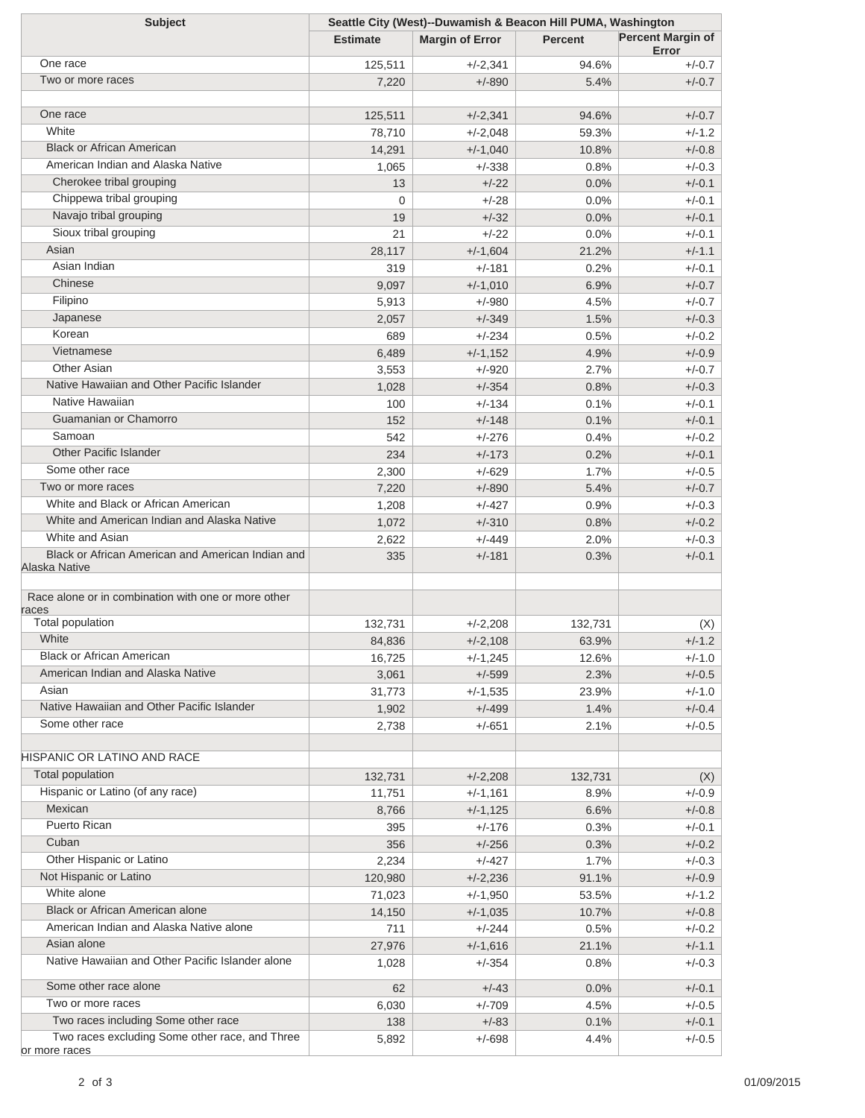| <b>Subject</b>                                      | Seattle City (West)--Duwamish & Beacon Hill PUMA, Washington |                        |                |                                   |  |
|-----------------------------------------------------|--------------------------------------------------------------|------------------------|----------------|-----------------------------------|--|
|                                                     | <b>Estimate</b>                                              | <b>Margin of Error</b> | <b>Percent</b> | <b>Percent Margin of</b><br>Error |  |
| One race                                            | 125,511                                                      | $+/-2,341$             | 94.6%          | $+/-0.7$                          |  |
| Two or more races                                   | 7,220                                                        | $+/-890$               | 5.4%           | $+/-0.7$                          |  |
|                                                     |                                                              |                        |                |                                   |  |
| One race                                            | 125,511                                                      | $+/-2,341$             | 94.6%          | $+/-0.7$                          |  |
| White                                               | 78,710                                                       | $+/-2,048$             | 59.3%          | $+/-1.2$                          |  |
| <b>Black or African American</b>                    | 14,291                                                       | $+/-1,040$             | 10.8%          | $+/-0.8$                          |  |
| American Indian and Alaska Native                   | 1,065                                                        | $+/-338$               | 0.8%           | $+/-0.3$                          |  |
| Cherokee tribal grouping                            | 13                                                           | $+/-22$                | 0.0%           | $+/-0.1$                          |  |
| Chippewa tribal grouping                            | 0                                                            | $+/-28$                | 0.0%           | $+/-0.1$                          |  |
| Navajo tribal grouping                              | 19                                                           | $+/-32$                | 0.0%           | $+/-0.1$                          |  |
| Sioux tribal grouping                               | 21                                                           | $+/-22$                | 0.0%           | $+/-0.1$                          |  |
| Asian                                               | 28,117                                                       | $+/-1,604$             | 21.2%          | $+/-1.1$                          |  |
| Asian Indian                                        | 319                                                          | $+/-181$               | 0.2%           | $+/-0.1$                          |  |
| Chinese                                             | 9,097                                                        | $+/-1,010$             | 6.9%           | $+/-0.7$                          |  |
| Filipino                                            | 5,913                                                        | $+/-980$               | 4.5%           | $+/-0.7$                          |  |
| Japanese                                            | 2,057                                                        | $+/-349$               | 1.5%           | $+/-0.3$                          |  |
| Korean                                              | 689                                                          | $+/-234$               | 0.5%           | $+/-0.2$                          |  |
| Vietnamese                                          | 6,489                                                        | $+/-1,152$             | 4.9%           | $+/-0.9$                          |  |
| <b>Other Asian</b>                                  | 3,553                                                        | $+/-920$               | 2.7%           | $+/-0.7$                          |  |
| Native Hawaiian and Other Pacific Islander          | 1,028                                                        | $+/-354$               | 0.8%           | $+/-0.3$                          |  |
| Native Hawaiian                                     | 100                                                          | $+/-134$               | 0.1%           | $+/-0.1$                          |  |
| Guamanian or Chamorro                               | 152                                                          | $+/-148$               | 0.1%           | $+/-0.1$                          |  |
| Samoan                                              | 542                                                          | $+/-276$               | 0.4%           | $+/-0.2$                          |  |
| <b>Other Pacific Islander</b>                       | 234                                                          | $+/-173$               | 0.2%           | $+/-0.1$                          |  |
| Some other race                                     | 2,300                                                        | $+/-629$               | 1.7%           | $+/-0.5$                          |  |
| Two or more races                                   | 7,220                                                        | $+/-890$               | 5.4%           | $+/-0.7$                          |  |
| White and Black or African American                 | 1,208                                                        | $+/-427$               | 0.9%           | $+/-0.3$                          |  |
| White and American Indian and Alaska Native         | 1,072                                                        | $+/-310$               | 0.8%           | $+/-0.2$                          |  |
| White and Asian                                     | 2,622                                                        | $+/-449$               | 2.0%           | $+/-0.3$                          |  |
| Black or African American and American Indian and   | 335                                                          | $+/-181$               | 0.3%           | $+/-0.1$                          |  |
| Alaska Native                                       |                                                              |                        |                |                                   |  |
| Race alone or in combination with one or more other |                                                              |                        |                |                                   |  |
| races                                               |                                                              |                        |                |                                   |  |
| <b>Total population</b>                             | 132,731                                                      | $+/-2,208$             | 132,731        | (X)                               |  |
| White                                               | 84,836                                                       | $+/-2,108$             | 63.9%          | $+/-1.2$                          |  |
| <b>Black or African American</b>                    | 16,725                                                       | $+/-1,245$             | 12.6%          | $+/-1.0$                          |  |
| American Indian and Alaska Native                   | 3,061                                                        | $+/-599$               | 2.3%           | $+/-0.5$                          |  |
| Asian                                               | 31,773                                                       | $+/-1,535$             | 23.9%          | $+/-1.0$                          |  |
| Native Hawaiian and Other Pacific Islander          | 1,902                                                        | $+/-499$               | 1.4%           | $+/-0.4$                          |  |
| Some other race                                     | 2,738                                                        | $+/-651$               | 2.1%           | $+/-0.5$                          |  |
|                                                     |                                                              |                        |                |                                   |  |
| HISPANIC OR LATINO AND RACE                         |                                                              |                        |                |                                   |  |
| Total population                                    | 132,731                                                      | $+/-2,208$             | 132,731        | (X)                               |  |
| Hispanic or Latino (of any race)                    | 11,751                                                       | $+/-1,161$             | 8.9%           | $+/-0.9$                          |  |
| Mexican                                             | 8,766                                                        | $+/-1,125$             | 6.6%           | $+/-0.8$                          |  |
| Puerto Rican                                        | 395                                                          | $+/-176$               | 0.3%           | $+/-0.1$                          |  |
| Cuban                                               | 356                                                          | $+/-256$               | 0.3%           | $+/-0.2$                          |  |
| Other Hispanic or Latino                            | 2,234                                                        | $+/-427$               | 1.7%           | $+/-0.3$                          |  |
| Not Hispanic or Latino                              | 120,980                                                      | $+/-2,236$             | 91.1%          | $+/-0.9$                          |  |
| White alone                                         | 71,023                                                       | $+/-1,950$             | 53.5%          | $+/-1.2$                          |  |
| Black or African American alone                     | 14,150                                                       | $+/-1,035$             | 10.7%          | $+/-0.8$                          |  |
| American Indian and Alaska Native alone             | 711                                                          | $+/-244$               | 0.5%           | $+/-0.2$                          |  |
| Asian alone                                         | 27,976                                                       | $+/-1,616$             | 21.1%          | $+/-1.1$                          |  |
| Native Hawaiian and Other Pacific Islander alone    | 1,028                                                        | $+/-354$               | 0.8%           | $+/-0.3$                          |  |
| Some other race alone                               | 62                                                           | $+/-43$                | 0.0%           | $+/-0.1$                          |  |
| Two or more races                                   | 6,030                                                        | $+/-709$               | 4.5%           | $+/-0.5$                          |  |
| Two races including Some other race                 | 138                                                          | $+/-83$                | 0.1%           | $+/-0.1$                          |  |
| Two races excluding Some other race, and Three      | 5,892                                                        | $+/-698$               | 4.4%           | $+/-0.5$                          |  |
| or more races                                       |                                                              |                        |                |                                   |  |